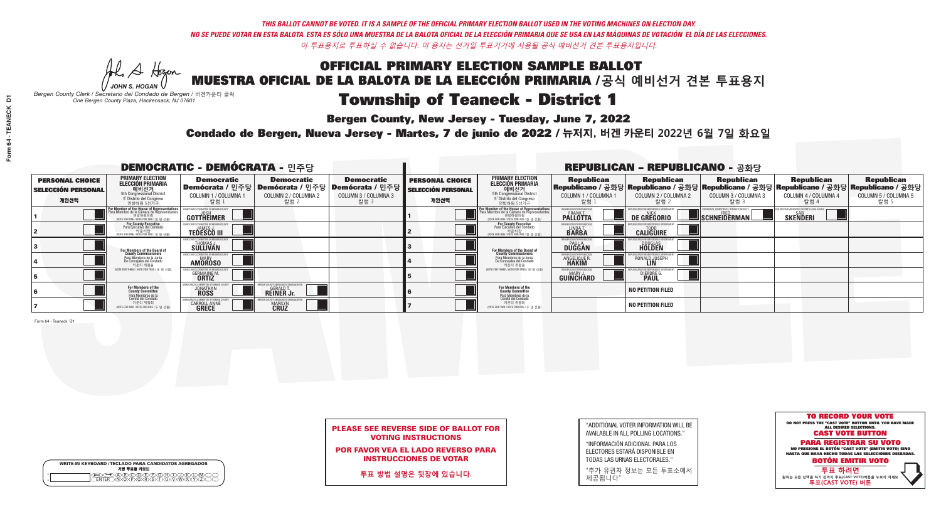Al Stogan *JOHN S. HOGAN*

| <b>WRITE-IN KEYBOARD /TECLADO PARA CANDIDATOS AGREGADOS</b><br>기명 투표용 키보드 |
|---------------------------------------------------------------------------|
| BCODECFOGC                                                                |

# **Township of Teaneck - District 1**

**Bergen County, New Jersey - Tuesday, June 7, 2022** 

*Bergen County Clerk / Secretario del Condado de Bergen /* 버겐카운티 클럭 *One Bergen County Plaza, Hackensack, NJ 07601*

Condado de Bergen, Nueva Jersey - Martes, 7 de junio de 2022 / 뉴저지, 버겐 카운티 2022년 6월 7일 화요일 *One Bergen County Plaza, Hackensack, NJ 07601*



### PLEASE SEE REVERSE SIDE OF BALLOT FOR VOTING INSTRUCTIONS

POR FAVOR VEA EL LADO REVERSO PARA INSTRUCCIONES DE VOTAR

**투표 방법 설명은 뒷장에 있습니다.**

| "ADDITIONAL VOTER INFORMATION WILL BE |
|---------------------------------------|
| AVAILABLE IN ALL POLLING LOCATIONS."  |
|                                       |

"INFORMACIÓN ADICIONAL PARA LOS ELECTORES ESTARÁ DISPONIBLE EN TODAS LAS URNAS ELECTORALES."

"추가 유권자 정보는 모든 투표소에서 제공됩니다"

| <b>DEMOCRATIC - DEMÓCRATA - 민주당</b>                         |                                                                                                                                                     |                                                                  |                                                   |                                                                                                              |                                                             |                                                                                                                                                |                                                            | <b>REPUBLICAN - REPUBLICANO - 공화당</b>              |                                                                                                                                                  |                                                             |                                                   |
|-------------------------------------------------------------|-----------------------------------------------------------------------------------------------------------------------------------------------------|------------------------------------------------------------------|---------------------------------------------------|--------------------------------------------------------------------------------------------------------------|-------------------------------------------------------------|------------------------------------------------------------------------------------------------------------------------------------------------|------------------------------------------------------------|----------------------------------------------------|--------------------------------------------------------------------------------------------------------------------------------------------------|-------------------------------------------------------------|---------------------------------------------------|
| <b>PERSONAL CHOICE</b><br><b>SELECCIÓN PERSONAL</b><br>개인선택 | PRIMARY ELECTION<br><b>ELECCIÓN PRIMARIA</b><br>5th Congressional District<br>5 <sup>o</sup> Distrito del Congreso<br>연방하원 5선거구                     | <b>Democratic</b><br>COLUMN 1 / COLUMNA 1<br>_ 칼럼 1              | <b>Democratic</b><br>COLUMN 2 / COLUMNA 2<br>칼럼 2 | <b>Democratic</b><br>  Demócrata / 민주당   Demócrata / 민주당   Demócrata / 민주당  <br>COLUMN 3 / COLUMNA 3<br>칼럼 3 | <b>PERSONAL CHOICE</b><br><b>SELECCIÓN PERSONAL</b><br>개인선택 | <b>PRIMARY ELECTION</b><br><b>ELECCIÓN PRIMARIA</b><br>예비선거<br>5th Congressional District<br>5 <sup>*</sup> Distrito del Congreso<br>연방하원 5선거구 | <b>Republican</b><br>COLUMN 1 / COLUMNA 1<br>칼럼            | <b>Republican</b><br>COLUMN 2 / COLUMNA 2<br>-칼럼 2 | <b>Republican</b><br> Republicano / 공화당 Republicano / 공화당 Republicano / 공화당 Republicano / 공화당 Republicano / 공화당 <br>COLUMN 3 / COLUMNA 3<br>칼럼 3 | <b>Republican</b><br>COLUMN 4 / COLUMNA 4<br>칼럼 4           | <b>Republican</b><br>COLUMN 5 / COLUMNA 5<br>칼럼 5 |
|                                                             | <b>For Member of the House of Representative</b><br>Para Miembro de la Cámara de Representante:<br>연방하원의원<br>(VOTE FOR ONE / VOTE POR UNO / 한 명 선출) | <b>GOTTHEIMER</b>                                                |                                                   |                                                                                                              |                                                             | F <mark>or Member of the House of Representative</mark><br>Para Miembro de la Cámara de Representante:<br>NOTE FOR ONE / VOTE POR UNO / 한 명 선출 | BERGEN COUNTY REPUBLICANS<br>FRANK T.<br><b>PALLOTTA</b>   | DE GREGORIO                                        | SCHNEIDERMAN                                                                                                                                     | VD VACCINE MANDATES. DEPORT ILLEGAL ALIE<br><b>SKENDERI</b> |                                                   |
|                                                             | For County Executive<br>Para Ejecutivo del Condado<br>, 카운티장<br>(VOTE FOR ONE / VOTE POR UNO / 한 명 선출)                                              | EMOCRATIC COMMITTEE OF BERGEN<br><b>TEDESCO III</b>              |                                                   |                                                                                                              |                                                             | For County Executive<br>Para Ejecutivo del Condado<br>7) 카운티장<br>(VOTE FOR ONE / VOTE POR UNO / 한 명 선출)                                        | BERGEN COUNTY REPUBLICA<br>LINDA T.                        | <b>CALIGUIRE</b>                                   |                                                                                                                                                  |                                                             |                                                   |
|                                                             | For Members of the Board of<br>County Commissioners                                                                                                 | <b>THOMAS J.</b><br><b>SULLIVAN</b>                              |                                                   |                                                                                                              |                                                             | For Members of the Board of<br>County Commissioners                                                                                            | ERGEN COUNTY REPUBLICAN<br><b>PAUL A.</b><br><b>DUGGAN</b> | <b>DOUGLAS</b>                                     |                                                                                                                                                  |                                                             |                                                   |
|                                                             | Para Miembros de la Junta<br>De Concejales del Condado<br>카우티 위원들                                                                                   | RATIC COMMITTEE OF BERGEN COUNT<br><b>MARY</b><br><b>AMOROSO</b> |                                                   |                                                                                                              |                                                             | Para Miembros de la Junta<br>De Concejales del Condado<br>카운티 위원들                                                                              | ERGEN COUNTY REPUBLICAN<br>ANGELIQUE R                     | RONALD JOSEPH                                      |                                                                                                                                                  |                                                             |                                                   |
|                                                             | NOTF FOR THREE / VOTE POR TRES / 세 명 선출)                                                                                                            | <b>GERMAINE M</b><br><b>ORTIZ</b>                                |                                                   |                                                                                                              |                                                             | (VOTE FOR THREE / VOTE POR TRES / 세 명 선출)                                                                                                      | BERGEN COUNTY REPUBLICAN<br>MARY J.<br>GUINCHARD           | <b>DIERDRE</b>                                     |                                                                                                                                                  |                                                             |                                                   |
|                                                             | For Members of the<br>County Committee<br>Para Miembros de la<br>Comité del Condado                                                                 | OCRACTIC COMMITTEE OF BERGEI<br><b>JONATHAN</b>                  | <b>GERALD T.</b><br><b>REINER Jr.</b>             |                                                                                                              |                                                             | For Members of the<br>County Committee<br>Para Miembros de la<br>Comité del Condado                                                            |                                                            | <b>NO PETITION FILED</b>                           |                                                                                                                                                  |                                                             |                                                   |
|                                                             | 카운티 위원회<br>(VOTE FOR TWO / VOTE POR DOS / 두 명 선출)                                                                                                   | RACTIC COMMITTEE OF BERG<br><b>CARROLL ANNE</b>                  | <b>MARILYN</b>                                    |                                                                                                              |                                                             | 카운티 위원회<br>(VOTE FOR TWO / VOTE POR DOS / 두 명 선출)                                                                                              |                                                            | <b>NO PETITION FILED</b>                           |                                                                                                                                                  |                                                             |                                                   |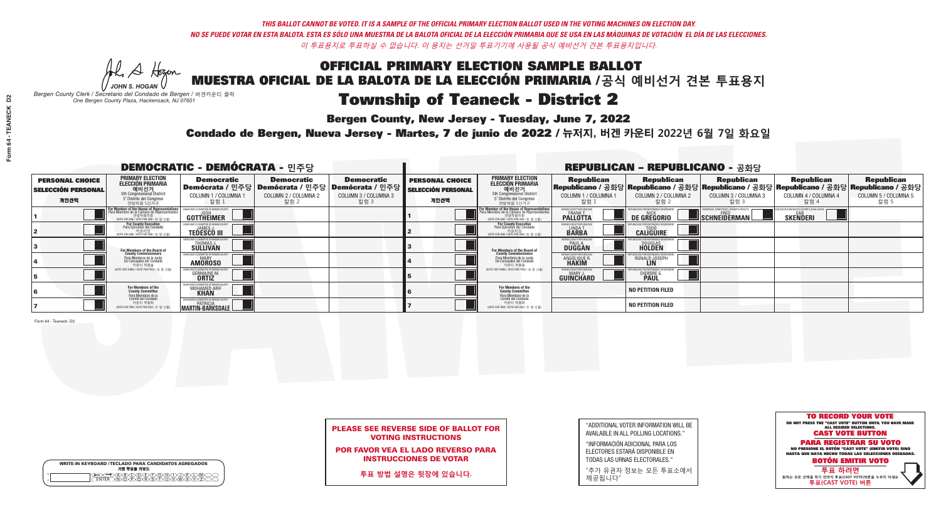Al Stogan *JOHN S. HOGAN*

|         | <b>WRITE-IN KEYBOARD /TECLADO PARA CANDIDATOS AGREGADOS</b><br>기명 투표용 키보드 |
|---------|---------------------------------------------------------------------------|
| $\circ$ | (B)C)D)E)(F)G)(H                                                          |
| $\circ$ | <b>DOARCY</b>                                                             |

# **Township of Teaneck - District 2**

**Bergen County, New Jersey - Tuesday, June 7, 2022** 

*Bergen County Clerk / Secretario del Condado de Bergen /* 버겐카운티 클럭 *One Bergen County Plaza, Hackensack, NJ 07601*



PLEASE SEE REVERSE SIDE OF BALLOT FOR VOTING INSTRUCTIONS

POR FAVOR VEA EL LADO REVERSO PARA INSTRUCCIONES DE VOTAR

**투표 방법 설명은 뒷장에 있습니다.**

| "ADDITIONAL VOTER INFORMATION WILL BE |
|---------------------------------------|
| AVAILABLE IN ALL POLLING LOCATIONS."  |
|                                       |

"INFORMACIÓN ADICIONAL PARA LOS ELECTORES ESTARÁ DISPONIBLE EN TODAS LAS URNAS ELECTORALES."

"추가 유권자 정보는 모든 투표소에서 제공됩니다"

Condado de Bergen, Nueva Jersey - Martes, 7 de junio de 2022 / 뉴저지, 버겐 카운티 2022년 6월 7일 화요일 *One Bergen County Plaza, Hackensack, NJ 07601*

| <b>DEMOCRATIC - DEMÓCRATA -</b> 민주당                         |                                                                                                                                               |                                                                |                                                   |                                                                                                        |                                                             |                                                                                                                                                |                                                            | <b>REPUBLICAN - REPUBLICANO - 공화당</b>              |                                                   |                                                                                                                                                |                                                   |
|-------------------------------------------------------------|-----------------------------------------------------------------------------------------------------------------------------------------------|----------------------------------------------------------------|---------------------------------------------------|--------------------------------------------------------------------------------------------------------|-------------------------------------------------------------|------------------------------------------------------------------------------------------------------------------------------------------------|------------------------------------------------------------|----------------------------------------------------|---------------------------------------------------|------------------------------------------------------------------------------------------------------------------------------------------------|---------------------------------------------------|
| <b>PERSONAL CHOICE</b><br><b>SELECCIÓN PERSONAL</b><br>개인선택 | <b>PRIMARY ELECTION</b><br>ELECCIÓN PRIMARIA<br>에비선거<br>5th Congressional District<br>5 <sup>*</sup> Distrito del Congreso<br>연방하원 5선거구       | <b>Democratic</b><br>COLUMN 1 / COLUMNA<br>칼럼 1                | <b>Democratic</b><br>COLUMN 2 / COLUMNA 2<br>칼럼 2 | <b>Democratic</b><br>Demócrata / 민주당 Demócrata / 민주당 Demócrata / 민주당  <br>COLUMN 3 / COLUMNA 3<br>칼럼 3 | <b>PERSONAL CHOICE</b><br><b>SELECCIÓN PERSONAL</b><br>개인선택 | <b>PRIMARY ELECTION</b><br><b>ELECCIÓN PRIMARIA</b><br>예비선거<br>5th Congressional District<br>5 <sup>*</sup> Distrito del Congreso<br>연방하원 5선거구 | <b>Republican</b><br>COLUMN 1 / COLUMNA 1<br>칼럼            | <b>Republican</b><br>COLUMN 2 / COLUMNA 2<br>-칼럼 2 | <b>Republican</b><br>COLUMN 3 / COLUMNA 3<br>칼럼 3 | <b>Republican</b><br>Republicano / 공화당 Republicano / 공화당 Republicano / 공화당 Republicano / 공화당 Republicano / 공화당<br>COLUMN 4 / COLUMNA 4<br>칼럼 4 | <b>Republican</b><br>COLUMN 5 / COLUMNA 5<br>칼럼 5 |
|                                                             | For Member of the House of Representatives<br>Para Miembro de la Cámara de Representantes<br>연방하원의원<br>(VOTE FOR ONE / VOTE POR UNO / 한 명 선출) | GOTTHEIMER                                                     |                                                   |                                                                                                        |                                                             | F <mark>or Member of the House of Representative</mark><br>Para Miembro de la Cámara de Representante:<br>NOTE FOR ONE / VOTE POR UNO / 한 명 선출 | BERGEN COUNTY REPUBLICANS<br>FRANK T.<br><b>PALLOTTA</b>   | DE GREGORIO                                        | SCHNEIDERMAN                                      | <b>SKENDERI</b>                                                                                                                                |                                                   |
|                                                             | For County Executive<br>Para Ejecutivo del Condado<br>, 카운티장<br>(VOTE FOR ONE / VOTE POR UNO / 한 명 선출)                                        | EMOCRATIC COMMITTEE OF BERGEN<br><b>TEDESCO III</b>            |                                                   |                                                                                                        |                                                             | For County Executive<br>Para Ejecutivo del Condado<br>7 카운티장<br>(VOTE FOR ONE / VOTE POR UNO / 한 명 선출)                                         | BERGEN COUNTY REPUBLICA<br>LINDA T.                        | <b>CALIGUIRE</b>                                   |                                                   |                                                                                                                                                |                                                   |
|                                                             | For Members of the Board of<br>County Commissioners                                                                                           | <b>THOMAS J.</b><br><b>SULLIVAN</b>                            |                                                   |                                                                                                        |                                                             | For Members of the Board of<br>County Commissioners                                                                                            | ERGEN COUNTY REPUBLICAN<br><b>PAUL A.</b><br><b>DUGGAN</b> | <b>DOUGLAS</b>                                     |                                                   |                                                                                                                                                |                                                   |
|                                                             | Para Miembros de la Junta<br>De Concejales del Condado<br>카운티 위원들                                                                             | ATIC COMMITTEE OF BERGEN COUN<br><b>MARY</b><br><b>AMOROSO</b> |                                                   |                                                                                                        |                                                             | Para Miembros de la Junta<br>De Concejales del Condado<br>카운티 위원들                                                                              | ERGEN COUNTY REPUBLICAN<br>ANGELIQUE R                     | RONALD JOSEPH<br><b>LIN</b>                        |                                                   |                                                                                                                                                |                                                   |
|                                                             | NOTE FOR THREE / VOTE POR TRES / 세 명 선출)                                                                                                      | <b>GERMAINE M.</b><br><b>ORTIZ</b>                             |                                                   |                                                                                                        |                                                             | NOTE FOR THREE / VOTE POR TRES / 세 명 선출)                                                                                                       | BERGEN COUNTY REPUBLICAN<br>MARY J.<br>GUINCHARD           | <b>DIERDRE</b>                                     |                                                   |                                                                                                                                                |                                                   |
|                                                             | For Members of the<br>County Committee<br>Para Miembros de la<br>Comité del Condado                                                           | EMOCRATIC COMMITTEE OF BERGEN C<br>MOHAMED ARIF<br><b>KHAN</b> |                                                   |                                                                                                        |                                                             | For Members of the<br>County Committee<br>Para Miembros de la<br>Comité del Condado                                                            |                                                            | <b>NO PETITION FILED</b>                           |                                                   |                                                                                                                                                |                                                   |
|                                                             | 카운티 위원회<br>(VOTE FOR TWO / VOTE POR DOS / 두 명 선출)                                                                                             | EMOCRATIC COMMITTEE OF BERGEN CO<br>MARTIN-BARKSDALE           |                                                   |                                                                                                        |                                                             | 카운티 위원회<br>NOTE FOR TWO / VOTE POR DOS / 두 명 선출)                                                                                               |                                                            | <b>NO PETITION FILED</b>                           |                                                   |                                                                                                                                                |                                                   |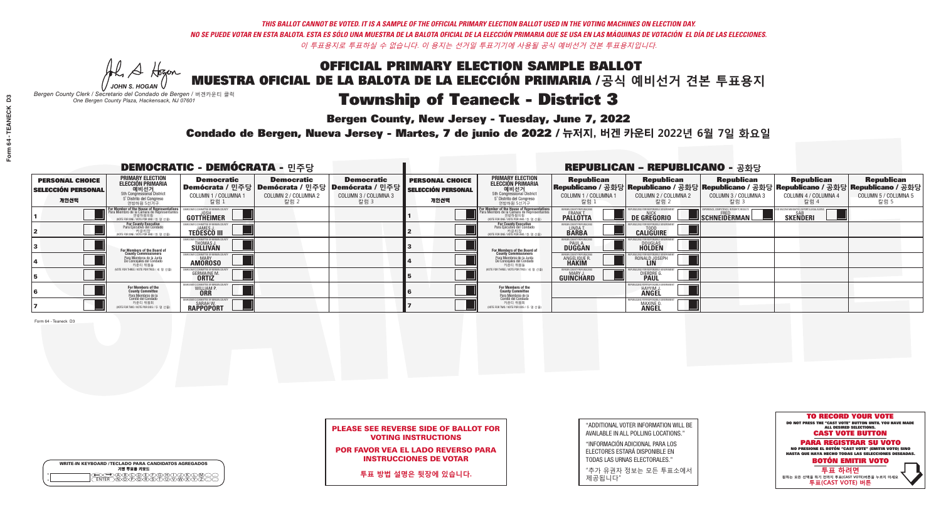He A Hogen *JOHN S. HOGAN*

| <b>WRITE-IN KEYBOARD /TECLADO PARA CANDIDATOS AGREGADOS</b><br>기명 투표용 키보드 |
|---------------------------------------------------------------------------|
| ABCODECEGH                                                                |

# Township of Teaneck - District 3

**Bergen County, New Jersey - Tuesday, June 7, 2022** 

*Bergen County Clerk / Secretario del Condado de Bergen /* 버겐카운티 클럭 *One Bergen County Plaza, Hackensack, NJ 07601*

Condado de Bergen, Nueva Jersey - Martes, 7 de junio de 2022 / 뉴저지, 버겐 카운티 2022년 6월 7일 화요일 *One Bergen County Plaza, Hackensack, NJ 07601*



### PLEASE SEE REVERSE SIDE OF BALLOT FOR VOTING INSTRUCTIONS

POR FAVOR VEA EL LADO REVERSO PARA INSTRUCCIONES DE VOTAR

**투표 방법 설명은 뒷장에 있습니다.**

"ADDITIONAL VOTER INFORMATION WILL BE AVAILABLE IN ALL POLLING LOCATIONS."

"INFORMACIÓN ADICIONAL PARA LOS ELECTORES ESTARÁ DISPONIBLE EN TODAS LAS URNAS ELECTORALES."

"추가 유권자 정보는 모든 투표소에서 제공됩니다"

|                                                             |                                                                                                                                               | <b>DEMOCRATIC - DEMÓCRATA - 민주당</b>                         |                                                                                          |                                                                      |                                                             |                                                                                                                                                             |                                                        | <b>REPUBLICAN - REPUBLICANO - 공화당</b>                                                                                                           |                                                   |                                                   |                                                   |
|-------------------------------------------------------------|-----------------------------------------------------------------------------------------------------------------------------------------------|-------------------------------------------------------------|------------------------------------------------------------------------------------------|----------------------------------------------------------------------|-------------------------------------------------------------|-------------------------------------------------------------------------------------------------------------------------------------------------------------|--------------------------------------------------------|-------------------------------------------------------------------------------------------------------------------------------------------------|---------------------------------------------------|---------------------------------------------------|---------------------------------------------------|
| <b>PERSONAL CHOICE</b><br><b>SELECCIÓN PERSONAL</b><br>개인선택 | PRIMARY ELECTION<br>ELECCIÓN PRIMARIA<br>에비선거<br>5th Congressional District<br>5 <sup>*</sup> Distrito del Congreso<br>연방하원 5선거구              | <b>Democratic</b><br>COLUMN 1 / COLUMNA 1<br>칼럼 1           | <b>Democratic</b><br>Demócrata / 민주당   Demócrata / 민주당  <br>COLUMN 2 / COLUMNA 2<br>칼럼 2 | <b>Democratic</b><br>Demócrata / 민주당<br>COLUMN 3 / COLUMNA 3<br>칼럼 3 | <b>PERSONAL CHOICE</b><br><b>SELECCIÓN PERSONAL</b><br>개인선택 | <b>PRIMARY ELECTION</b><br><b>ELECCIÓN PRIMARIA</b><br>예비선거<br>5th Congressional District<br>5 Distrito del Congreso<br>연방하원 5선거구                           | <b>Republican</b><br>COLUMN 1 / COLUMNA 1<br>칼럼        | <b>Republican</b><br>Republicano / 공화당 Republicano / 공화당 Republicano / 공화당 Republicano / 공화당 Republicano / 공화당<br>COLUMN 2 / COLUMNA 2<br>-칼럼 2 | <b>Republican</b><br>COLUMN 3 / COLUMNA 3<br>칼럼 3 | <b>Republican</b><br>COLUMN 4 / COLUMNA 4<br>칼럼 4 | <b>Republican</b><br>COLUMN 5 / COLUMNA 5<br>칼럼 5 |
|                                                             | For Member of the House of Representatives<br>Para Miembro de la Cámara de Representantes<br>연방하원의원<br>(VOTE FOR ONE / VOTE POR UNO / 한 명 선출) | GOTTHEIMER                                                  |                                                                                          |                                                                      |                                                             | F <mark>or Member of the House of Representatives</mark><br>Para Miembro de la Cámara de Representantes<br>연방하원의원<br>(VOTE FOR ONE / VOTE POR UNO / 한 명 선출) | ERGEN COUNTY REPUBLICAN<br><b>PALLOTTA</b>             | DE GREGORIO                                                                                                                                     | SCHNEIDERMAN                                      | <b>SKENDERI</b>                                   |                                                   |
|                                                             | For County Executive<br>Para Ejecutivo del Condado<br>/OTE FOR ONE / VOTE POR UNO / 한 명 선출)                                                   | <b>TEDESCO III</b>                                          |                                                                                          |                                                                      |                                                             | <b>For County Executive</b><br>Para Ejecutivo del Condado<br>7) 카운티장<br>(VOTE FOR ONE / VOTE POR UNO / 한 명 선출)                                              | BERGEN COUNTY REPUBLICA<br>LINDAT.                     | <b>CALIGUIRE</b>                                                                                                                                |                                                   |                                                   |                                                   |
|                                                             | For Members of the Board of<br>County Commissioners                                                                                           | EMOCRATIC COMMITTEE OF BERGEN LINE<br>THOMAS J.<br>SULLIVAN |                                                                                          |                                                                      |                                                             | <b>For Members of the Board of County Commissioners</b>                                                                                                     | <b>BERGEN COUNTY REPUBLICAN<br/>PAUL A.<br/>DUGGAN</b> | <b>DOUGLAS</b>                                                                                                                                  |                                                   |                                                   |                                                   |
|                                                             | Para Miembros de la Junta<br>De Concejales del Condado<br>카운티 위원들                                                                             | ATIC COMMITTEE OF BERGEN CO<br><b>AMOROSO</b>               |                                                                                          |                                                                      |                                                             | Para Miembros de la Junta<br>De Concejales del Condado<br>카운티 위원들                                                                                           | ERGEN COUNTY REPUBLICAN<br><b>ANGELIQUE F</b>          | RONALD JOSEPH                                                                                                                                   |                                                   |                                                   |                                                   |
|                                                             | (VOTE FOR THREE / VOTE POR TRES / 세 명 선출)                                                                                                     | <b>GERMAINE M.</b><br><b>ORTIZ</b>                          |                                                                                          |                                                                      |                                                             | (VOTE FOR THREE / VOTE POR TRES / 세 명 선출)                                                                                                                   | ERGEN COUNTY REPUBLICAN<br>MARY J<br><b>GUINCHARD</b>  | <b>DIERDRE</b>                                                                                                                                  |                                                   |                                                   |                                                   |
|                                                             | For Members of the<br>County Committee                                                                                                        | CRATIC COMMITTEE OF BERGEN<br>WILLIAM P.                    |                                                                                          |                                                                      |                                                             | For Members of the<br>County Committee                                                                                                                      |                                                        | RI ICANS FOR RESPONSIRI F<br>HAYYIM J.                                                                                                          |                                                   |                                                   |                                                   |
|                                                             | Para Miembros de la<br>Comité del Condado<br>카운티 위원회<br>(VOTE FOR TWO / VOTE POR DOS / 두 명 선출)                                                | <b>DEMOCRATIC COMMITTEE OF BERGEN</b><br><b>RAPPOPORT</b>   |                                                                                          |                                                                      |                                                             | Para Miembros de la<br>Comité del Condado<br>카운티 위원회<br>(VOTE FOR TWO / VOTE POR DOS / 두 명 선출)                                                              |                                                        | PUBLICANS FOR RESPONSIBLE<br><b>MAXINE &amp;</b><br><b>ANGEL</b>                                                                                |                                                   |                                                   |                                                   |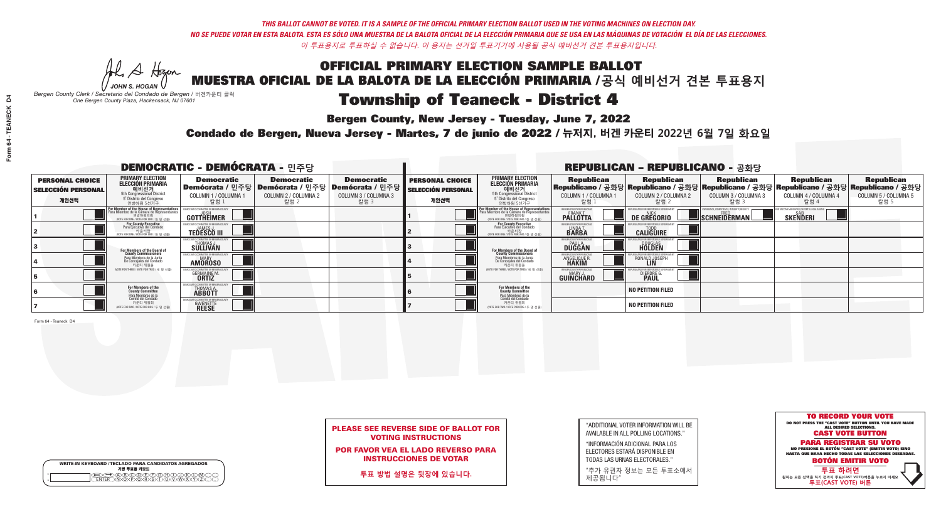Al Stogan *JOHN S. HOGAN*

|         | <b>WRITE-IN KEYBOARD /TECLADO PARA CANDIDATOS AGREGADOS</b><br>기명 투표용 키보드 |
|---------|---------------------------------------------------------------------------|
| $\circ$ | ነለችለቅ                                                                     |

# Township of Teaneck - District 4

**Bergen County, New Jersey - Tuesday, June 7, 2022** 

*Bergen County Clerk / Secretario del Condado de Bergen /* 버겐카운티 클럭 *One Bergen County Plaza, Hackensack, NJ 07601*



POR FAVOR VEA EL LADO REVERSO PARA INSTRUCCIONES DE VOTAR

**투표 방법 설명은 뒷장에 있습니다.**

| "ADDITIONAL VOTER INFORMATION WILL BE |
|---------------------------------------|
| AVAILABLE IN ALL POLLING LOCATIONS."  |
|                                       |

"INFORMACIÓN ADICIONAL PARA LOS ELECTORES ESTARÁ DISPONIBLE EN TODAS LAS URNAS ELECTORALES."

"추가 유권자 정보는 모든 투표소에서 제공됩니다"

Condado de Bergen, Nueva Jersey - Martes, 7 de junio de 2022 / 뉴저지, 버겐 카운티 2022년 6월 7일 화요일 *One Bergen County Plaza, Hackensack, NJ 07601*

|                                                             |                                                                                                                                               | <b>DEMOCRATIC - DEMÓCRATA - 민주당</b>                            |                                                   |                                                                                                        |                                                             |                                                                                                                                                |                                                             | <b>REPUBLICAN - REPUBLICANO - 공화당</b>              |                                                   |                                                                                                                                                |                                                   |
|-------------------------------------------------------------|-----------------------------------------------------------------------------------------------------------------------------------------------|----------------------------------------------------------------|---------------------------------------------------|--------------------------------------------------------------------------------------------------------|-------------------------------------------------------------|------------------------------------------------------------------------------------------------------------------------------------------------|-------------------------------------------------------------|----------------------------------------------------|---------------------------------------------------|------------------------------------------------------------------------------------------------------------------------------------------------|---------------------------------------------------|
| <b>PERSONAL CHOICE</b><br><b>SELECCIÓN PERSONAL</b><br>개인선택 | <b>PRIMARY ELECTION</b><br>ELECCIÓN PRIMARIA<br>에비선거<br>5th Congressional District<br>5 <sup>*</sup> Distrito del Congreso<br>연방하원 5선거구       | <b>Democratic</b><br>COLUMN 1 / COLUMNA<br>칼럼 1                | <b>Democratic</b><br>COLUMN 2 / COLUMNA 2<br>칼럼 2 | <b>Democratic</b><br>Demócrata / 민주당 Demócrata / 민주당 Demócrata / 민주당  <br>COLUMN 3 / COLUMNA 3<br>칼럼 3 | <b>PERSONAL CHOICE</b><br><b>SELECCIÓN PERSONAL</b><br>개인선택 | <b>PRIMARY ELECTION</b><br><b>ELECCIÓN PRIMARIA</b><br>예비선거<br>5th Congressional District<br>5 <sup>*</sup> Distrito del Congreso<br>연방하원 5선거구 | <b>Republican</b><br>COLUMN 1 / COLUMNA 1<br>칼럼             | <b>Republican</b><br>COLUMN 2 / COLUMNA 2<br>-칼럼 2 | <b>Republican</b><br>COLUMN 3 / COLUMNA 3<br>칼럼 3 | <b>Republican</b><br>Republicano / 공화당 Republicano / 공화당 Republicano / 공화당 Republicano / 공화당 Republicano / 공화당<br>COLUMN 4 / COLUMNA 4<br>칼럼 4 | <b>Republican</b><br>COLUMN 5 / COLUMNA 5<br>칼럼 5 |
|                                                             | For Member of the House of Representatives<br>Para Miembro de la Cámara de Representantes<br>연방하원의원<br>(VOTE FOR ONE / VOTE POR UNO / 한 명 선출) | GOTTHEIMER                                                     |                                                   |                                                                                                        |                                                             | F <mark>or Member of the House of Representative</mark><br>Para Miembro de la Cámara de Representante:<br>NOTE FOR ONE / VOTE POR UNO / 한 명 선출 | BERGEN COUNTY REPUBLICANS<br>FRANK T.<br><b>PALLOTTA</b>    | DE GREGORIO                                        | SCHNEIDERMAN                                      | <b>SKENDERI</b>                                                                                                                                |                                                   |
|                                                             | For County Executive<br>Para Ejecutivo del Condado<br>, 카운티장<br>(VOTE FOR ONE / VOTE POR UNO / 한 명 선출)                                        | EMOCRATIC COMMITTEE OF BERGEN<br><b>TEDESCO III</b>            |                                                   |                                                                                                        |                                                             | For County Executive<br>Para Ejecutivo del Condado<br>7 카운티장<br>(VOTE FOR ONE / VOTE POR UNO / 한 명 선출)                                         | BERGEN COUNTY REPUBLICA<br>LINDA T.                         | <b>CALIGUIRE</b>                                   |                                                   |                                                                                                                                                |                                                   |
|                                                             | For Members of the Board of<br>County Commissioners                                                                                           | <b>THOMAS J.</b><br><b>SULLIVAN</b>                            |                                                   |                                                                                                        |                                                             | For Members of the Board of<br>County Commissioners                                                                                            | BERGEN COUNTY REPUBLICAN<br><b>PAUL A.</b><br><b>DUGGAN</b> | <b>DOUGLAS</b>                                     |                                                   |                                                                                                                                                |                                                   |
|                                                             | Para Miembros de la Junta<br>De Concejales del Condado<br>카운티 위원들                                                                             | ATIC COMMITTEE OF BERGEN COUN<br><b>MARY</b><br><b>AMOROSO</b> |                                                   |                                                                                                        |                                                             | Para Miembros de la Junta<br>De Concejales del Condado<br>카운티 위원들                                                                              | ERGEN COUNTY REPUBLICAN<br>ANGELIQUE R                      | RONALD JOSEPH<br><b>LIN</b>                        |                                                   |                                                                                                                                                |                                                   |
|                                                             | NOTE FOR THREE / VOTE POR TRES / 세 명 선출)                                                                                                      | <b>GERMAINE M.</b><br><b>ORTIZ</b>                             |                                                   |                                                                                                        |                                                             | NOTE FOR THREE / VOTE POR TRES / 세 명 선출)                                                                                                       | BERGEN COUNTY REPUBLICAN<br>MARY J.<br>GUINCHARD            | <b>DIERDRE</b>                                     |                                                   |                                                                                                                                                |                                                   |
|                                                             | For Members of the<br>County Committee<br>Para Miembros de la<br>Comité del Condado                                                           | EMOCRATIC COMMITTEE OF BERGEN<br>THOMAS A.<br><b>ABBOTT</b>    |                                                   |                                                                                                        |                                                             | For Members of the<br>County Committee<br>Para Miembros de la<br>Comité del Condado                                                            |                                                             | <b>NO PETITION FILED</b>                           |                                                   |                                                                                                                                                |                                                   |
|                                                             | 카운티 위원회<br>(VOTE FOR TWO / VOTE POR DOS / 두 명 선출)                                                                                             | RATIC COMMITTEE OF BERGEN<br><b>GWENETTE</b>                   |                                                   |                                                                                                        |                                                             | 카운티 위원회<br>NOTE FOR TWO / VOTE POR DOS / 두 명 선출)                                                                                               |                                                             | <b>NO PETITION FILED</b>                           |                                                   |                                                                                                                                                |                                                   |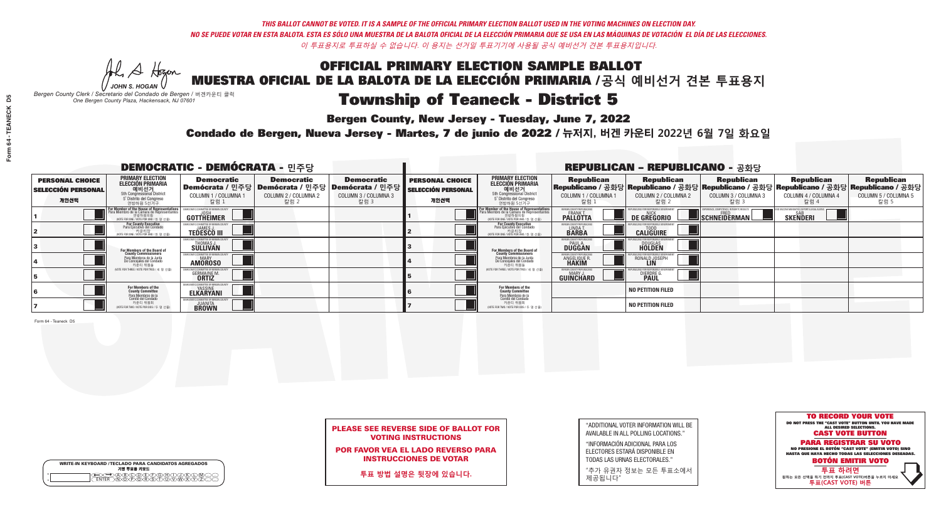Al Stogan *JOHN S. HOGAN*

|         | <b>WRITE-IN KEYBOARD /TECLADO PARA CANDIDATOS AGREGADOS</b><br>기명 투표용 키보드 |
|---------|---------------------------------------------------------------------------|
| ٥       | BIODEIFIGH.                                                               |
| $\circ$ | <b>POORCA</b>                                                             |

# **Township of Teaneck - District 5**

**Bergen County, New Jersey - Tuesday, June 7, 2022** 

*Bergen County Clerk / Secretario del Condado de Bergen /* 버겐카운티 클럭 *One Bergen County Plaza, Hackensack, NJ 07601*



PLEASE SEE REVERSE SIDE OF BALLOT FOR VOTING INSTRUCTIONS

POR FAVOR VEA EL LADO REVERSO PARA INSTRUCCIONES DE VOTAR

**투표 방법 설명은 뒷장에 있습니다.**

| "ADDITIONAL VOTER INFORMATION WILL BE |
|---------------------------------------|
| AVAILABLE IN ALL POLLING LOCATIONS."  |
|                                       |

"INFORMACIÓN ADICIONAL PARA LOS ELECTORES ESTARÁ DISPONIBLE EN TODAS LAS URNAS ELECTORALES."

"추가 유권자 정보는 모든 투표소에서 제공됩니다"

Condado de Bergen, Nueva Jersey - Martes, 7 de junio de 2022 / 뉴저지, 버겐 카운티 2022년 6월 7일 화요일 *One Bergen County Plaza, Hackensack, NJ 07601*

|                                                             |                                                                                                                                               | <b>DEMOCRATIC - DEMÓCRATA - 민주당</b>                     |                                                                                          |                                                                      |                                                             |                                                                                                                                         |                                                        | <b>REPUBLICAN - REPUBLICANO - 공화당</b>              |                                                   |                                                                                                                                                |                                                   |
|-------------------------------------------------------------|-----------------------------------------------------------------------------------------------------------------------------------------------|---------------------------------------------------------|------------------------------------------------------------------------------------------|----------------------------------------------------------------------|-------------------------------------------------------------|-----------------------------------------------------------------------------------------------------------------------------------------|--------------------------------------------------------|----------------------------------------------------|---------------------------------------------------|------------------------------------------------------------------------------------------------------------------------------------------------|---------------------------------------------------|
| <b>PERSONAL CHOICE</b><br><b>SELECCIÓN PERSONAL</b><br>개인선택 | PRIMARY ELECTION<br>ELECCIÓN PRIMARIA<br>에비선거<br>5th Congressional District<br>5 <sup>*</sup> Distrito del Congreso<br>연방하원 5선거구              | <b>Democratic</b><br>COLUMN 1 / COLUMNA<br>칼럼 1         | <b>Democratic</b><br>Demócrata / 민주당   Demócrata / 민주당  <br>COLUMN 2 / COLUMNA 2<br>칼럼 2 | <b>Democratic</b><br>Demócrata / 민주당<br>COLUMN 3 / COLUMNA 3<br>칼럼 3 | <b>PERSONAL CHOICE</b><br><b>SELECCIÓN PERSONAL</b><br>개인선택 | <b>PRIMARY ELECTION</b><br><b>ELECCIÓN PRIMARIA</b><br>예비선거<br>5th Congressional District<br>5 Distrito del Congreso<br>연방하원 5선거구       | <b>Republican</b><br>COLUMN 1 / COLUMNA 1<br>칼럼        | <b>Republican</b><br>COLUMN 2 / COLUMNA 2<br>-칼럼 2 | <b>Republican</b><br>COLUMN 3 / COLUMNA 3<br>칼럼 3 | <b>Republican</b><br>Republicano / 공화당 Republicano / 공화당 Republicano / 공화당 Republicano / 공화당 Republicano / 공화당<br>COLUMN 4 / COLUMNA 4<br>칼럼 4 | <b>Republican</b><br>COLUMN 5 / COLUMNA 5<br>칼럼 5 |
|                                                             | For Member of the House of Representatives<br>Para Miembro de la Cámara de Representantes<br>연방하원의원<br>(VOTE FOR ONE / VOTE POR UNO / 한 명 선출) | GOTTHEIMER                                              |                                                                                          |                                                                      |                                                             | <b>For Member of the House of Representative</b><br>Para Miembro de la Cámara de Representante<br>(VOTE FOR ONE / VOTE POR UNO / 한 명 선출 | ERGEN COUNTY REPUBLICAN<br><b>PALLOTTA</b>             | DE GREGORIO                                        | SCHNEIDERMAN                                      | <b>SKENDERI</b>                                                                                                                                |                                                   |
|                                                             | For County Executive<br>Para Ejecutivo del Condado<br>/OTE FOR ONE / VOTE POR UNO / 한 명 선출)                                                   | <b>TEDESCO III</b>                                      |                                                                                          |                                                                      |                                                             | For County Executive<br>Para Ejecutivo del Condado<br>7) 카운티장<br>(VOTE FOR ONE / VOTE POR UNO / 한 명 선출)                                 | BERGEN COUNTY REPUBLICAN<br>LINDA T.                   | <b>CALIGUIRE</b>                                   |                                                   |                                                                                                                                                |                                                   |
|                                                             | For Members of the Board of<br>County Commissioners                                                                                           | MOCRATIC COMMITTEE OF BERGEN (<br>THOMAS J.<br>SULLIVAN |                                                                                          |                                                                      |                                                             | <b>For Members of the Board of County Commissioners</b>                                                                                 | <b>SERGEN COUNTY REPUBLICAN<br/>PAUL A.<br/>DUGGAN</b> | <b>DOUGLAS</b>                                     |                                                   |                                                                                                                                                |                                                   |
|                                                             | Para Miembros de la Junta<br>De Concejales del Condado<br>카운티 위원들                                                                             | ATIC COMMITTEE OF BERGEN CO<br><b>AMOROSO</b>           |                                                                                          |                                                                      |                                                             | Para Miembros de la Junta<br>De Concejales del Condado<br>카운티 위원들                                                                       | 'ERGEN COUNTY REPUBLICAN<br>ANGELIQUE R                | RONALD JOSEPH                                      |                                                   |                                                                                                                                                |                                                   |
|                                                             | (VOTE FOR THREE / VOTE POR TRES / 세 명 선출)                                                                                                     | <b>GERMAINE M.</b>                                      |                                                                                          |                                                                      |                                                             | (VOTE FOR THREE / VOTE POR TRES / 세 명 선출)                                                                                               | ERGEN COUNTY REPUBLICAN<br>MARY J.<br>GUINCHARD        | <b>DIERDRE L</b>                                   |                                                   |                                                                                                                                                |                                                   |
|                                                             | For Members of the<br>County Committee<br>Para Miembros de la                                                                                 | OCRATIC COMMITTEE OF BERGEN<br><b>ELKARYANI</b>         |                                                                                          |                                                                      |                                                             | <b>For Members of the<br/>County Committee</b>                                                                                          |                                                        | <b>NO PETITION FILED</b>                           |                                                   |                                                                                                                                                |                                                   |
|                                                             | Comité del Condado<br>카운티 위원회<br>(VOTE FOR TWO / VOTE POR DOS / 두 명 선출)                                                                       | <b>JUANITA</b><br><b>BROWN</b>                          |                                                                                          |                                                                      |                                                             | Para Miembros de la<br>Comité del Condado<br>카운티 위원회<br>NOTE FOR TWO / VOTE POR DOS / 두 명 선출)                                           |                                                        | <b>NO PETITION FILED</b>                           |                                                   |                                                                                                                                                |                                                   |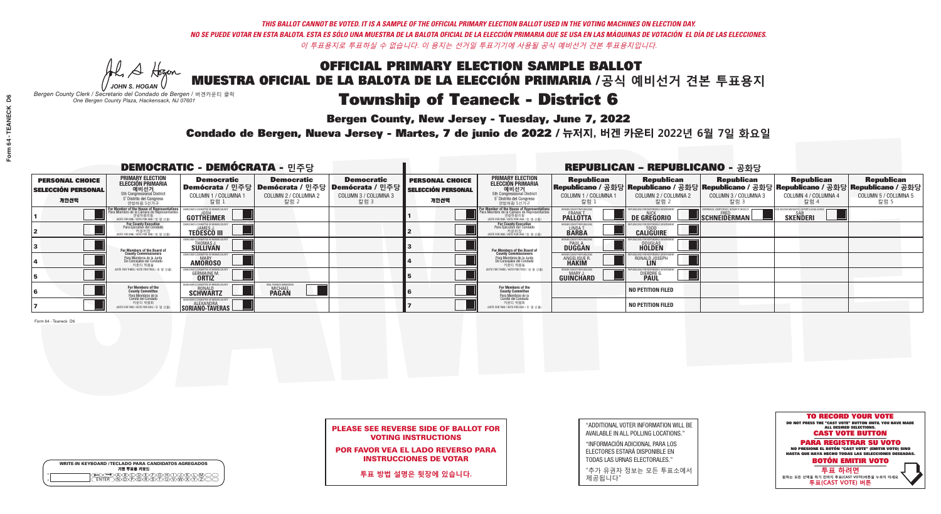Al Stogan *JOHN S. HOGAN*

| <b>WRITE-IN KEYBOARD /TECLADO PARA CANDIDATOS AGREGADOS</b><br>기명 투표용 키보드 |
|---------------------------------------------------------------------------|
| BODDEXFXG.<br>$\sqrt{D}\sqrt{C}$                                          |

# **Township of Teaneck - District 6**

**Bergen County, New Jersey - Tuesday, June 7, 2022** 

*Bergen County Clerk / Secretario del Condado de Bergen /* 버겐카운티 클럭 *One Bergen County Plaza, Hackensack, NJ 07601*

Condado de Bergen, Nueva Jersey - Martes, 7 de junio de 2022 / 뉴저지, 버겐 카운티 2022년 6월 7일 화요일 *One Bergen County Plaza, Hackensack, NJ 07601*



### PLEASE SEE REVERSE SIDE OF BALLOT FOR VOTING INSTRUCTIONS

POR FAVOR VEA EL LADO REVERSO PARA INSTRUCCIONES DE VOTAR

**투표 방법 설명은 뒷장에 있습니다.**

| "ADDITIONAL VOTER INFORMATION WILL BE |
|---------------------------------------|
| AVAILABLE IN ALL POLLING LOCATIONS."  |
|                                       |

"INFORMACIÓN ADICIONAL PARA LOS ELECTORES ESTARÁ DISPONIBLE EN TODAS LAS URNAS ELECTORALES."

"추가 유권자 정보는 모든 투표소에서 제공됩니다"

|                                                             |                                                                                                                                               | <b>DEMOCRATIC - DEMÓCRATA - 민주당</b>                               |                                                                                                        |                                                   |                                                             |                                                                                                                                                |                                                          | <b>REPUBLICAN - REPUBLICANO - 공화당</b>              |                                                   |                                                                                                                                                  |                                                   |
|-------------------------------------------------------------|-----------------------------------------------------------------------------------------------------------------------------------------------|-------------------------------------------------------------------|--------------------------------------------------------------------------------------------------------|---------------------------------------------------|-------------------------------------------------------------|------------------------------------------------------------------------------------------------------------------------------------------------|----------------------------------------------------------|----------------------------------------------------|---------------------------------------------------|--------------------------------------------------------------------------------------------------------------------------------------------------|---------------------------------------------------|
| <b>PERSONAL CHOICE</b><br><b>SELECCIÓN PERSONAL</b><br>개인선택 | <b>PRIMARY ELECTION</b><br><b>ELECCIÓN PRIMARIA</b><br>5th Congressional District<br>5 <sup>o</sup> Distrito del Congreso<br>연방하원 5선거구        | <b>Democratic</b><br>COLUMN 1 / COLUMNA 1<br>_칼럼 1                | <b>Democratic</b><br>│Demócrata / 민주당│Demócrata / 민주당│Demócrata / 민주당┃<br>COLUMN 2 / COLUMNA 2<br>칼럼 2 | <b>Democratic</b><br>COLUMN 3 / COLUMNA 3<br>칼럼 3 | <b>PERSONAL CHOICE</b><br><b>SELECCIÓN PERSONAL</b><br>개인선택 | <b>PRIMARY ELECTION</b><br><b>ELECCIÓN PRIMARIA</b><br>예비선거<br>5th Congressional District<br>5 <sup>*</sup> Distrito del Congreso<br>연방하원 5선거구 | <b>Republican</b><br>COLUMN 1 / COLUMNA 1<br>칼럼          | <b>Republican</b><br>COLUMN 2 / COLUMNA 2<br>-칼럼 2 | <b>Republican</b><br>COLUMN 3 / COLUMNA 3<br>칼럼 3 | <b>Republican</b><br> Republicano / 공화당 Republicano / 공화당 Republicano / 공화당 Republicano / 공화당 Republicano / 공화당 <br>COLUMN 4 / COLUMNA 4<br>칼럼 4 | <b>Republican</b><br>COLUMN 5 / COLUMNA 5<br>칼럼 5 |
|                                                             | For Member of the House of Representatives<br>Para Miembro de la Cámara de Representantes<br>연방하원의원<br>(VOTE FOR ONE / VOTE POR UNO / 한 명 선출) | <b>IMMITTEE OF BERGEN C</b><br><b>GOTTHEIMER</b>                  |                                                                                                        |                                                   |                                                             | <b>For Member of the House of Representatives</b><br>Para Miembro de la Cámara de Representantes<br>WOTE FOR ONE / VOTE POR UNO / 하 명 선출       | BERGEN COUNTY REPUBLICANS<br>FRANK T.<br><b>PALLOTTA</b> | DE GREGORIO                                        | SCHNEIDERMAN                                      | <b>SKENDERI</b>                                                                                                                                  |                                                   |
|                                                             | For County Executive<br>Para Ejecutivo del Condado<br>. 카운티장<br>(VOTE FOR ONE / VOTE POR UNO / 한 명 선출)                                        | DEMOCRATIC COMMITTEE OF BERGEN<br><b>TEDESCO III</b>              |                                                                                                        |                                                   |                                                             | For County Executive<br>Para Ejecutivo del Condado<br>7) 카운티장<br>(VOTE FOR ONE / VOTE POR UNO / 한 명 선출)                                        | BERGEN COUNTY REPUBLICA<br>LINDAT.                       | <b>CALIGUIRE</b>                                   |                                                   |                                                                                                                                                  |                                                   |
|                                                             | For Members of the Board of<br>County Commissioners                                                                                           | THOMAS J.                                                         |                                                                                                        |                                                   |                                                             | For Members of the Board of<br>County Commissioners                                                                                            | BERGEN COUNTY REPUBLICAN<br><b>DUGGAN</b>                | <b>DOUGLAS</b>                                     |                                                   |                                                                                                                                                  |                                                   |
|                                                             | Para Miembros de la Junta<br>De Conceiales del Condado<br>카운티 위원들                                                                             | CRATIC COMMITTEE OF BERGEN COUNT<br><b>MARY</b><br><b>AMOROSO</b> |                                                                                                        |                                                   |                                                             | Para Miembros de la Junta<br>De Concejales del Condado<br>카운티 위원들                                                                              | ERGEN COUNTY REPUBLICAN<br>ANGELIQUE R                   | RONALD JOSEPH<br><b>LIN</b>                        |                                                   |                                                                                                                                                  |                                                   |
|                                                             | NOTE FOR THREE / VOTE POR TRES / 세 명 선출)                                                                                                      | <b>GERMAINE M.</b>                                                |                                                                                                        |                                                   |                                                             | (VOTE FOR THREE / VOTE POR TRES / 세 명 선출)                                                                                                      | BERGEN COUNTY REPUBLICAN<br>MARY J.<br>GUINCHARD         | <b>DIERDRE</b>                                     |                                                   |                                                                                                                                                  |                                                   |
|                                                             | For Members of the<br>County Committee<br>Para Miembros de la<br>Comité del Condado                                                           | EMOCRATIC COMMITTEE OF BERGEN<br><b>SCHWARTZ</b>                  | EAL TEANECK DEMOC<br><b>MICHAEL</b><br><b>PAGAN</b>                                                    |                                                   |                                                             | For Members of the<br>County Committee<br>Para Miembros de la<br>Comité del Condado                                                            |                                                          | <b>NO PETITION FILED</b>                           |                                                   |                                                                                                                                                  |                                                   |
|                                                             | 카운티 위원회<br>(VOTE FOR TWO / VOTE POR DOS / 두 명 선출)                                                                                             | SORIANO-TAVERAS                                                   |                                                                                                        |                                                   |                                                             | 카운티 위원회<br>NOTE FOR TWO / VOTE POR DOS / 두 명 선출)                                                                                               |                                                          | <b>NO PETITION FILED</b>                           |                                                   |                                                                                                                                                  |                                                   |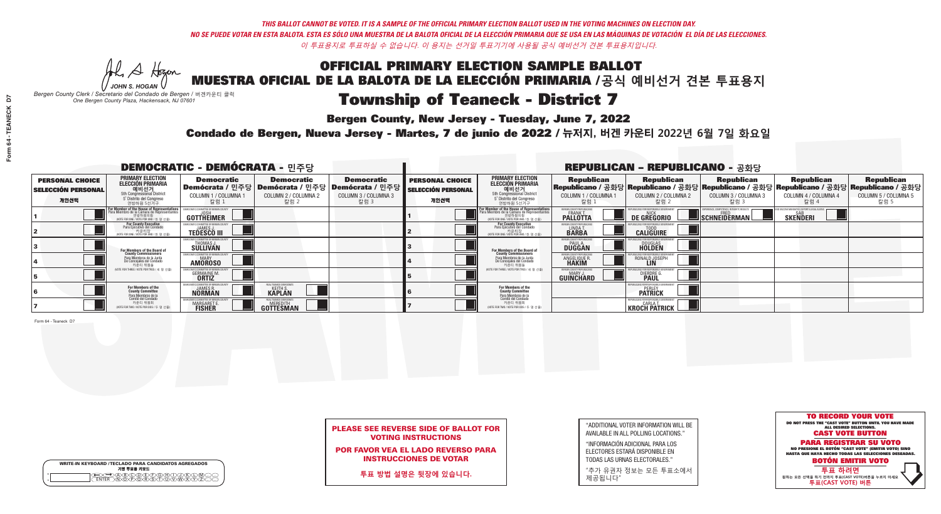He A Hogen *JOHN S. HOGAN*

| <b>WRITE-IN KEYBOARD /TECLADO PARA CANDIDATOS AGREGADOS</b><br>기명 투표용 키보드 |
|---------------------------------------------------------------------------|
|                                                                           |

# Township of Teaneck - District 7

**Bergen County, New Jersey - Tuesday, June 7, 2022** 

*Bergen County Clerk / Secretario del Condado de Bergen /* 버겐카운티 클럭 *One Bergen County Plaza, Hackensack, NJ 07601*

Condado de Bergen, Nueva Jersey - Martes, 7 de junio de 2022 / 뉴저지, 버겐 카운티 2022년 6월 7일 화요일 *One Bergen County Plaza, Hackensack, NJ 07601*



### PLEASE SEE REVERSE SIDE OF BALLOT FOR VOTING INSTRUCTIONS

POR FAVOR VEA EL LADO REVERSO PARA INSTRUCCIONES DE VOTAR

**투표 방법 설명은 뒷장에 있습니다.**

"ADDITIONAL VOTER INFORMATION WILL BE AVAILABLE IN ALL POLLING LOCATIONS."

"INFORMACIÓN ADICIONAL PARA LOS ELECTORES ESTARÁ DISPONIBLE EN TODAS LAS URNAS ELECTORALES."

"추가 유권자 정보는 모든 투표소에서 제공됩니다"

|                                                             |                                                                                                                                        | <b>DEMOCRATIC - DEMÓCRATA - 민주당</b>                             |                                                                                                            |                                                   |                                                             |                                                                                                                                   |                                                             | <b>REPUBLICAN - REPUBLICANO - 공화당</b>                           |                                                          |                                                                                                                                                |                                                   |
|-------------------------------------------------------------|----------------------------------------------------------------------------------------------------------------------------------------|-----------------------------------------------------------------|------------------------------------------------------------------------------------------------------------|---------------------------------------------------|-------------------------------------------------------------|-----------------------------------------------------------------------------------------------------------------------------------|-------------------------------------------------------------|-----------------------------------------------------------------|----------------------------------------------------------|------------------------------------------------------------------------------------------------------------------------------------------------|---------------------------------------------------|
| <b>PERSONAL CHOICE</b><br><b>SELECCIÓN PERSONAL</b><br>개인선택 | <b>PRIMARY ELECTION</b><br><b>ELECCIÓN PRIMARIA</b><br>5th Congressional District<br>5 <sup>o</sup> Distrito del Congreso<br>연방하원 5선거구 | <b>Democratic</b><br>COLUMN 1 / COLUMNA<br>칼럼 1                 | <b>Democratic</b><br>Demócrata / 민주당   Demócrata / 민주당   Demócrata / 민주당  <br>COLUMN 2 / COLUMNA 2<br>칼럼 2 | <b>Democratic</b><br>COLUMN 3 / COLUMNA 3<br>칼럼 3 | <b>PERSONAL CHOICE</b><br><b>SELECCIÓN PERSONAL</b><br>개인선택 | <b>PRIMARY ELECTION</b><br>ELECCIÓN PRIMARIA<br>5th Congressional District<br>5° Distrito del Congreso<br>연방하원 5선거구               | <b>Republican</b><br>COLUMN 1 / COLUMNA 1<br>칼럼 :           | <b>Republican</b><br>COLUMN 2 / COLUMNA 2<br>칼럼 2               | <b>Republican</b><br>COLUMN 3 / COLUMNA 3<br>칼럼 3        | <b>Republican</b><br>Republicano / 공화당 Republicano / 공화당 Republicano / 공화당 Republicano / 공화당 Republicano / 공화당<br>COLUMN 4 / COLUMNA 4<br>칼럼 4 | <b>Republican</b><br>COLUMN 5 / COLUMNA 5<br>칼럼 5 |
|                                                             | or Member of the House of Representatives<br>Para Miembro de la Cámara de Representantes<br>NOTE FOR ONE / VOTE POR UNO / 한 명 선출)      | COMMITTEE OF BERGEN COUNT<br>GOTTHËIMER                         |                                                                                                            |                                                   |                                                             | For Member of the House of Representatives<br>Para Miembro de la Cámara de Representantes<br>NOTE FOR ONE / VOTE POR UNO / 한 명 선출 | BERGEN COUNTY REPUBLICANS<br><b>PALLOTTA</b>                | DE GREGORIO                                                     | PERIENCE, COMPETENCE, INTEGRITY, RESULT:<br>SCHNEIDERMAN | <b>SAR</b><br><b>SKENDERI</b>                                                                                                                  |                                                   |
|                                                             | For County Executive<br>Para Ejecutivo del Condado<br>, 카운티장<br>/OTE FOR ONE /VOTE POR UNO / 한 명 선출)                                   | <b>JAMES J</b><br><b>TEDESCO III</b>                            |                                                                                                            |                                                   |                                                             | For County Executive<br>Para Ejecutivo del Condado<br>, "아운티장<br>"카운티장<br>"MOTE FOR ONE / VOTE POR UNO / 한 명 선축                   | BERGEN COUNTY REPUBLICAN<br>LINDA T.                        | <b>CALIGUIRE</b>                                                |                                                          |                                                                                                                                                |                                                   |
|                                                             | <b>For Members of the Board of<br/>County Commissioners</b>                                                                            | THOMAS J.                                                       |                                                                                                            |                                                   |                                                             | <b>For Members of the Board of<br/>County Commissioners</b>                                                                       | BERGEN COUNTY REPUBLICAN<br><b>PAUL A.</b><br><b>DUGGAN</b> | <b>DOUGLAS</b>                                                  |                                                          |                                                                                                                                                |                                                   |
|                                                             | Para Miembros de la Junta<br>De Concejales del Condado<br>카운티 위원들                                                                      | IC COMMITTEE OF RERGEN COLL<br><b>MARY</b><br><b>AMOROSO</b>    |                                                                                                            |                                                   |                                                             | Para Miembros de la Junta<br>De Concejales del Condado<br>카운티 위원들                                                                 | <b>FRGEN COUNTY REPUBLICAN</b><br><b>ANGELIQUE R</b>        | RONALD JOSEPH<br><b>LIN</b>                                     |                                                          |                                                                                                                                                |                                                   |
|                                                             | NOTE FOR THREE / VOTE POR TRES / 세 명 선출)                                                                                               | <b>GERMAINE M</b><br><b>ORTIZ</b>                               |                                                                                                            |                                                   |                                                             | (VOTE FOR THREE / VOTE POR TRES / 세 명 선출)                                                                                         | BERGEN COUNTY REPUBLICANS<br>MARY J<br>GUINCHARD            | <b>DIERDRE</b>                                                  |                                                          |                                                                                                                                                |                                                   |
|                                                             | For Members of the<br>County Committee<br>Para Miembros de <mark>la</mark><br>Comité del Condado                                       | MOCRATIC COMMITTEE OF BERGEN<br><b>JAMES R</b><br><b>NÖRMÄN</b> | REAL TEANECK DEMOCRA<br><b>KEITH S</b><br><b>KAPLAN</b>                                                    |                                                   |                                                             | For Members of the<br>County Committee<br>Para Miembros de la<br>Comité del Condado                                               |                                                             | UBI ICANS FOR RESPONSIBI E G<br><b>PERLEY</b><br><b>PATRICK</b> |                                                          |                                                                                                                                                |                                                   |
|                                                             | 카운티 위원회<br>(VOTE FOR TWO / VOTE POR DOS / 두 명 선출)                                                                                      | ATIC COMMITTEE OF BERG<br>MARGARET E.                           | REAL TEANECK DEMOCRA<br><b>GOTTESMAN</b>                                                                   |                                                   |                                                             | 카운티 위원회<br>NOTE FOR TWO / VOTE POR DOS / 두 명 선출)                                                                                  |                                                             | REPUBLICANS FOR RESPONSIBLE<br><b>KROCH PATRICK</b>             |                                                          |                                                                                                                                                |                                                   |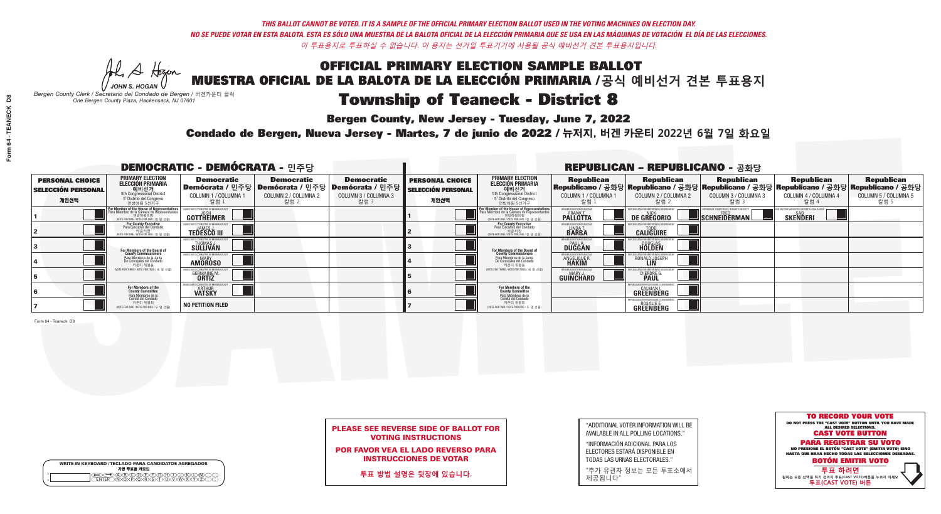He A Hogen *JOHN S. HOGAN*

| <b>WRITE-IN KEYBOARD /TECLADO PARA CANDIDATOS AGREGADOS</b> |
|-------------------------------------------------------------|
| 기명 투표용 키보드                                                  |
|                                                             |
|                                                             |

# Township of Teaneck - District 8

**Bergen County, New Jersey - Tuesday, June 7, 2022** 

*Bergen County Clerk / Secretario del Condado de Bergen /* 버겐카운티 클럭 *One Bergen County Plaza, Hackensack, NJ 07601*

Condado de Bergen, Nueva Jersey - Martes, 7 de junio de 2022 / 뉴저지, 버겐 카운티 2022년 6월 7일 화요일 *One Bergen County Plaza, Hackensack, NJ 07601*



### PLEASE SEE REVERSE SIDE OF BALLOT FOR VOTING INSTRUCTIONS

POR FAVOR VEA EL LADO REVERSO PARA INSTRUCCIONES DE VOTAR

**투표 방법 설명은 뒷장에 있습니다.**

"ADDITIONAL VOTER INFORMATION WILL BE AVAILABLE IN ALL POLLING LOCATIONS."

"INFORMACIÓN ADICIONAL PARA LOS ELECTORES ESTARÁ DISPONIBLE EN TODAS LAS URNAS ELECTORALES."

"추가 유권자 정보는 모든 투표소에서 제공됩니다"

|                                                             |                                                                                                                                         | <b>DEMOCRATIC - DEMÓCRATA - 민주당</b>                              |                                                                                      |                                                                      |                                                             |                                                                                                                                                      |                                                                | <b>REPUBLICAN - REPUBLICANO - 공화당</b>                                  |                                                   |                                                                                                                                                  |                                                   |
|-------------------------------------------------------------|-----------------------------------------------------------------------------------------------------------------------------------------|------------------------------------------------------------------|--------------------------------------------------------------------------------------|----------------------------------------------------------------------|-------------------------------------------------------------|------------------------------------------------------------------------------------------------------------------------------------------------------|----------------------------------------------------------------|------------------------------------------------------------------------|---------------------------------------------------|--------------------------------------------------------------------------------------------------------------------------------------------------|---------------------------------------------------|
| <b>PERSONAL CHOICE</b><br><b>SELECCIÓN PERSONAL</b><br>개인선택 | <b>PRIMARY ELECTION</b><br><b>ELECCIÓN PRIMARIA</b><br>예비선거<br>5th Congressional District<br>5° Distrito del Congreso<br>연방하원 5선거구      | <b>Democratic</b><br>COLUMN 1 / COLUMNA<br>칼럼 1                  | <b>Democratic</b><br>Demócrata / 민주당 Demócrata / 민주당<br>COLUMN 2 / COLUMNA 2<br>칼럼 2 | <b>Democratic</b><br>Demócrata / 민주당<br>COLUMN 3 / COLUMNA 3<br>칼럼 3 | <b>PERSONAL CHOICE</b><br><b>SELECCIÓN PERSONAL</b><br>개인선택 | <b>PRIMARY ELECTION</b><br><b>ELECCIÓN PRIMARIA</b><br>예비선거<br>5th Congressional District<br>5 Distrito del Congreso<br>연방하원 5선거구                    | <b>Republican</b><br>COLUMN 1 / COLUMNA 1<br>.칼럼 :             | <b>Republican</b><br>COLUMN 2 / COLUMNA 2<br>-칼럼 2                     | <b>Republican</b><br>COLUMN 3 / COLUMNA 3<br>칼럼 3 | <b>Republican</b><br> Republicano / 공화당 Republicano / 공화당 Republicano / 공화당 Republicano / 공화당 Republicano / 공화당 <br>COLUMN 4 / COLUMNA 4<br>칼럼 4 | <b>Republican</b><br>COLUMN 5 / COLUMNA 5<br>칼럼 5 |
|                                                             | For Member of the House of Representatives<br>Para Miembro de la Cámara de Representantes<br><br>(VOTE FOR ONE / VOTE POR UNO / 한 명 선출) | COMMITTEE OF BERGEN C<br>GOTTHEIMER                              |                                                                                      |                                                                      |                                                             | .<br>F <mark>or Member of the House of Representatives</mark><br>Para Miembro de la Cámara de Representantes<br>NOTE FOR ONE / VOTE POR UNO / 한 명 선출 | BERGEN COUNTY REPUBLICAN<br><b>FRANK T.</b><br><b>PALLOTTA</b> | <b>DE GREGORIO</b>                                                     | SCHNEIDERMAN                                      | <b>SAB</b><br><b>SKENDERI</b>                                                                                                                    |                                                   |
|                                                             | For County Executive<br>Para Ejecutivo del Condado<br>VOTE FOR ONE / VOTE POR UNO / 한 명 선출)                                             | JEMOCRATIC COMMITTEE OF BERGEN (<br>JAMFS.<br><b>TEDESCO III</b> |                                                                                      |                                                                      |                                                             | For County Executive<br>Para Ejecutivo del Condado<br>7) 카운티장<br>(VOTE FOR ONE / VOTE POR UNO / 한 명 선출)                                              | BERGEN COUNTY REPUBLICA<br>LINDA T.                            | <b>CALIGUIRE</b>                                                       |                                                   |                                                                                                                                                  |                                                   |
|                                                             | <b>For Members of the Board of<br/>County Commissioners</b>                                                                             | THOMAS J.                                                        |                                                                                      |                                                                      |                                                             | <b>For Members of the Board of County Commissioners</b>                                                                                              | BERGEN COUNTY REPUBLICA<br><b>PAUL A.</b><br><b>DUGGAN</b>     | <b>DOUGLAS</b>                                                         |                                                   |                                                                                                                                                  |                                                   |
|                                                             | Para Miembros de la Junta<br>De Concejales del Condado<br>카운티 위원들                                                                       | IC COMMITTEE OF BERGEN COUNT<br><b>MARY</b><br><b>AMOROSO</b>    |                                                                                      |                                                                      |                                                             | Para Miembros de la Junta<br>De Concejales del Condado<br>카운티 위원들                                                                                    | <b>ERGEN COUNTY REPUBLICAN</b><br>ANGELIQUE R                  | RONALD JOSEPH                                                          |                                                   |                                                                                                                                                  |                                                   |
|                                                             | (VOTE FOR THREE / VOTE POR TRES / 세 명 선출)                                                                                               | <b>GERMAINE M.</b>                                               |                                                                                      |                                                                      |                                                             | (VOTE FOR THREE / VOTE POR TRES / 세 명 선출)                                                                                                            | BERGEN COUNTY REPUBLICAN<br>MARY J<br><b>GUINCHARD</b>         | <b>DIERDRE</b>                                                         |                                                   |                                                                                                                                                  |                                                   |
|                                                             | For Members of the<br>County Committee<br><sup>p</sup> ara Miembros de la<br>Comité del Condado                                         | MOCRATIC COMMITTEE OF BERGEI<br><b>ARTHUR</b><br><b>VATSKY</b>   |                                                                                      |                                                                      |                                                             | For Members of the<br>County Committee<br>Para Miembros de la<br>Comité del Condado                                                                  |                                                                | BLICANS FOR RESPONSIBLE GOV<br><b>CALMAN I.</b><br>GREENBERG           |                                                   |                                                                                                                                                  |                                                   |
|                                                             | 카운티 위원회<br>NOTE FOR TWO / VOTE POR DOS / 두 명 선출)                                                                                        | <b>NO PETITION FILED</b>                                         |                                                                                      |                                                                      |                                                             | 카운티 위원회<br>NOTE FOR TWO / VOTE POR DOS / 두 명 선출)                                                                                                     |                                                                | FPURLICANS FOR RESPONSIBLE GOVERNMEN<br><b>ROSALIE E.</b><br>GREENBERG |                                                   |                                                                                                                                                  |                                                   |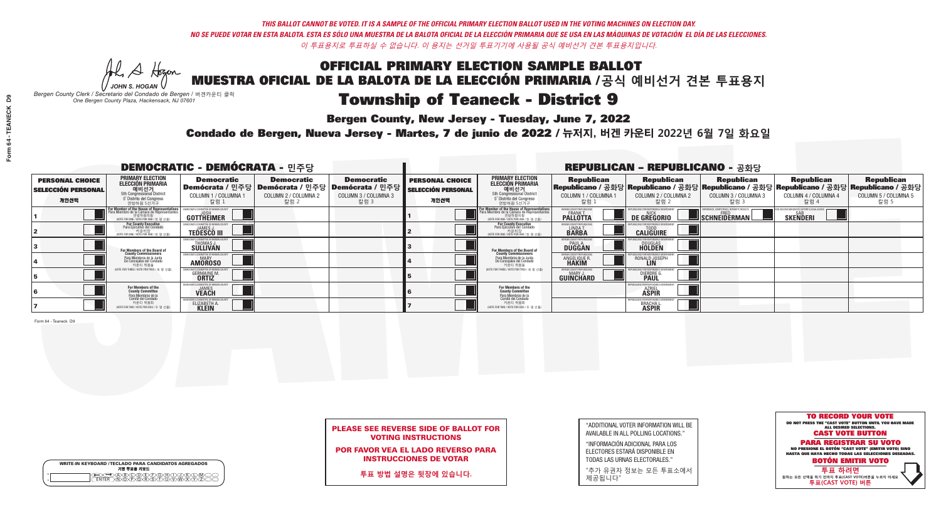He A Hogen *JOHN S. HOGAN*

| <b>WRITE-IN KEYBOARD /TECLADO PARA CANDIDATOS AGREGADOS</b><br>기명 투표용 키보드 |
|---------------------------------------------------------------------------|
| )(B)C)(D)(E)(F)(G)(                                                       |

# **Township of Teaneck - District 9**

**Bergen County, New Jersey - Tuesday, June 7, 2022** 

*Bergen County Clerk / Secretario del Condado de Bergen /* 버겐카운티 클럭 *One Bergen County Plaza, Hackensack, NJ 07601*

Condado de Bergen, Nueva Jersey - Martes, 7 de junio de 2022 / 뉴저지, 버겐 카운티 2022년 6월 7일 화요일 *One Bergen County Plaza, Hackensack, NJ 07601*



### PLEASE SEE REVERSE SIDE OF BALLOT FOR VOTING INSTRUCTIONS

POR FAVOR VEA EL LADO REVERSO PARA INSTRUCCIONES DE VOTAR

**투표 방법 설명은 뒷장에 있습니다.**

"ADDITIONAL VOTER INFORMATION WILL BE AVAILABLE IN ALL POLLING LOCATIONS."

"INFORMACIÓN ADICIONAL PARA LOS ELECTORES ESTARÁ DISPONIBLE EN TODAS LAS URNAS ELECTORALES."

"추가 유권자 정보는 모든 투표소에서 제공됩니다"

|                                                             |                                                                                                                                               | <b>DEMOCRATIC - DEMÓCRATA - 민주당</b>                            |                                                   |                                                                                                        |                                                             |                                                                                                                                                |                                                             | <b>REPUBLICAN - REPUBLICANO - 공화당</b>                     |                                                   |                                                                                                                                                |                                                   |
|-------------------------------------------------------------|-----------------------------------------------------------------------------------------------------------------------------------------------|----------------------------------------------------------------|---------------------------------------------------|--------------------------------------------------------------------------------------------------------|-------------------------------------------------------------|------------------------------------------------------------------------------------------------------------------------------------------------|-------------------------------------------------------------|-----------------------------------------------------------|---------------------------------------------------|------------------------------------------------------------------------------------------------------------------------------------------------|---------------------------------------------------|
| <b>PERSONAL CHOICE</b><br><b>SELECCIÓN PERSONAL</b><br>개인선택 | <b>PRIMARY ELECTION</b><br>ELECCIÓN PRIMARIA<br>에비선거<br>5th Congressional District<br>5 <sup>*</sup> Distrito del Congreso<br>연방하원 5선거구       | <b>Democratic</b><br>COLUMN 1 / COLUMNA<br>칼럼 1                | <b>Democratic</b><br>COLUMN 2 / COLUMNA 2<br>칼럼 2 | <b>Democratic</b><br>Demócrata / 민주당 Demócrata / 민주당 Demócrata / 민주당  <br>COLUMN 3 / COLUMNA 3<br>칼럼 3 | <b>PERSONAL CHOICE</b><br><b>SELECCIÓN PERSONAL</b><br>개인선택 | <b>PRIMARY ELECTION</b><br><b>ELECCIÓN PRIMARIA</b><br>예비선거<br>5th Congressional District<br>5 <sup>*</sup> Distrito del Congreso<br>연방하원 5선거구 | <b>Republican</b><br>COLUMN 1 / COLUMNA 1<br>칼럼             | <b>Republican</b><br>COLUMN 2 / COLUMNA 2<br>-칼럼 2        | <b>Republican</b><br>COLUMN 3 / COLUMNA 3<br>칼럼 3 | <b>Republican</b><br>Republicano / 공화당 Republicano / 공화당 Republicano / 공화당 Republicano / 공화당 Republicano / 공화당<br>COLUMN 4 / COLUMNA 4<br>칼럼 4 | <b>Republican</b><br>COLUMN 5 / COLUMNA 5<br>칼럼 5 |
|                                                             | For Member of the House of Representatives<br>Para Miembro de la Cámara de Representantes<br>연방하원의원<br>(VOTE FOR ONE / VOTE POR UNO / 한 명 선출) | GOTTHEIMER                                                     |                                                   |                                                                                                        |                                                             | F <mark>or Member of the House of Representative</mark><br>Para Miembro de la Cámara de Representante:<br>NOTE FOR ONE / VOTE POR UNO / 한 명 선출 | BERGEN COUNTY REPUBLICANS<br>FRANK T.<br><b>PALLOTTA</b>    | DE GREGORIO                                               | SCHNEIDERMAN                                      | <b>SKENDERI</b>                                                                                                                                |                                                   |
|                                                             | For County Executive<br>Para Ejecutivo del Condado<br>, 카운티장<br>(VOTE FOR ONE / VOTE POR UNO / 한 명 선출)                                        | EMOCRATIC COMMITTEE OF BERGEN<br><b>TEDESCO III</b>            |                                                   |                                                                                                        |                                                             | For County Executive<br>Para Ejecutivo del Condado<br>7 카운티장<br>(VOTE FOR ONE / VOTE POR UNO / 한 명 선출)                                         | BERGEN COUNTY REPUBLICA<br>LINDA T.                         | <b>CALIGUIRE</b>                                          |                                                   |                                                                                                                                                |                                                   |
|                                                             | For Members of the Board of<br>County Commissioners                                                                                           | <b>THOMAS J.</b><br><b>SULLIVAN</b>                            |                                                   |                                                                                                        |                                                             | For Members of the Board of<br>County Commissioners                                                                                            | BERGEN COUNTY REPUBLICAN<br><b>PAUL A.</b><br><b>DUGGAN</b> | <b>DOUGLAS</b>                                            |                                                   |                                                                                                                                                |                                                   |
|                                                             | Para Miembros de la Junta<br>De Concejales del Condado<br>카운티 위원들                                                                             | ATIC COMMITTEE OF BERGEN COUN<br><b>MARY</b><br><b>AMOROSO</b> |                                                   |                                                                                                        |                                                             | Para Miembros de la Junta<br>De Concejales del Condado<br>카운티 위원들                                                                              | ERGEN COUNTY REPUBLICAN<br>ANGELIQUE R                      | RONALD JOSEPH<br><b>LIN</b>                               |                                                   |                                                                                                                                                |                                                   |
|                                                             | (VOTE FOR THREE / VOTE POR TRES / 세 명 선출)                                                                                                     | <b>GERMAINE M.</b><br><b>ORTIZ</b>                             |                                                   |                                                                                                        |                                                             | (VOTE FOR THREE / VOTE POR TRES / 세 명 선출)                                                                                                      | BERGEN COUNTY REPUBLICAN<br>MARY J.<br>GUINCHARD            | <b>DIERDRE</b>                                            |                                                   |                                                                                                                                                |                                                   |
|                                                             | For Members of the<br>County Committee                                                                                                        | MOCRATIC COMMITTEE OF BERGE<br><b>JAMES</b><br><b>VEACH</b>    |                                                   |                                                                                                        |                                                             | For Members of the<br>County Committee                                                                                                         |                                                             | UBLICANS FOR RESPONSIBLE<br><b>AZRIEL</b><br><b>ASPIR</b> |                                                   |                                                                                                                                                |                                                   |
|                                                             | Para Miembros de la<br>Comité del Condado<br>카운티 위원회<br>(VOTE FOR TWO / VOTE POR DOS / 두 명 선출)                                                | <b>CRATIC COMMITTEE OF BERGEN</b><br>ELIZABETH A.              |                                                   |                                                                                                        |                                                             | Para Miembros de la<br>Comité del Condado<br>카운티 위원회<br>NOTE FOR TWO / VOTE POR DOS / 두 명 선출)                                                  |                                                             | (EPUBLICANS FOR RESPONSIBLE)<br><b>BRACHAL</b>            |                                                   |                                                                                                                                                |                                                   |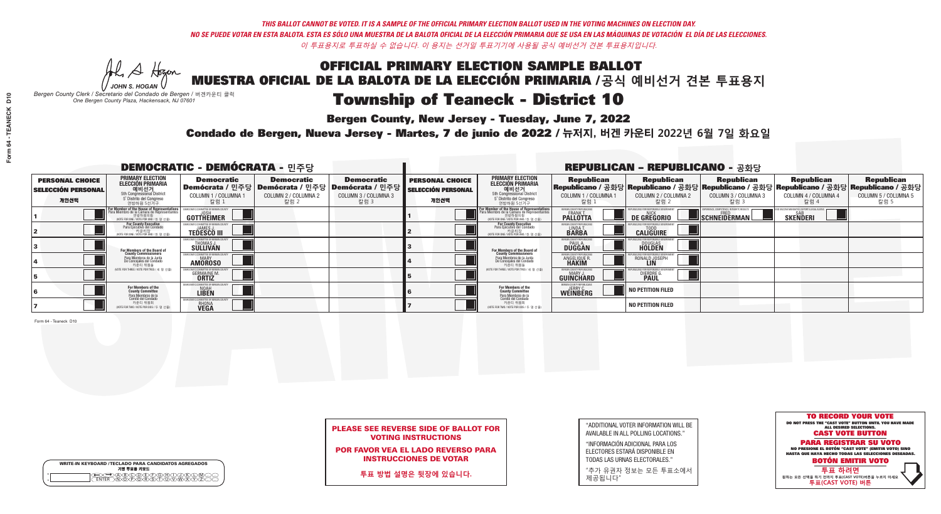**Bergen County, New Jersey - Tuesday, June 7, 2022** 

Al Stogan *JOHN S. HOGAN*

| <b>WRITE-IN KEYBOARD /TECLADO PARA CANDIDATOS AGREGADOS</b><br>기명 투표용 키보드 |
|---------------------------------------------------------------------------|
|                                                                           |

*Bergen County Clerk / Secretario del Condado de Bergen /* 버겐카운티 클럭 *One Bergen County Plaza, Hackensack, NJ 07601*

Condado de Bergen, Nueva Jersey - Martes, 7 de junio de 2022 / 뉴저지, 버겐 카운티 2022년 6월 7일 화요일 *One Bergen County Plaza, Hackensack, NJ 07601*



### PLEASE SEE REVERSE SIDE OF BALLOT FOR VOTING INSTRUCTIONS

POR FAVOR VEA EL LADO REVERSO PARA INSTRUCCIONES DE VOTAR

**투표 방법 설명은 뒷장에 있습니다.**

| "ADDITIONAL VOTER INFORMATION WILL BE |
|---------------------------------------|
| AVAILABLE IN ALL POLLING LOCATIONS."  |
|                                       |

"INFORMACIÓN ADICIONAL PARA LOS ELECTORES ESTARÁ DISPONIBLE EN TODAS LAS URNAS ELECTORALES."

"추가 유권자 정보는 모든 투표소에서 제공됩니다"

| <b>DEMOCRATIC - DEMÓCRATA - 민주당</b>                         |                                                                                                                                               |                                                                             |                                                   |                                                                                                             | <b>REPUBLICAN - REPUBLICANO - 공화당</b>                       |                                                                                                                                                |                                                        |                                                    |                                                   |                                                                                                                                                |                                                   |
|-------------------------------------------------------------|-----------------------------------------------------------------------------------------------------------------------------------------------|-----------------------------------------------------------------------------|---------------------------------------------------|-------------------------------------------------------------------------------------------------------------|-------------------------------------------------------------|------------------------------------------------------------------------------------------------------------------------------------------------|--------------------------------------------------------|----------------------------------------------------|---------------------------------------------------|------------------------------------------------------------------------------------------------------------------------------------------------|---------------------------------------------------|
| <b>PERSONAL CHOICE</b><br><b>SELECCIÓN PERSONAL</b><br>개인선택 | PRIMARY ELECTION<br>ELECCIÓN PRIMARIA<br>O   H   선 거<br>5th Congressional District<br>5 Distrito del Congreso<br>연방하원 5선거구                    | <b>Democratic</b><br>COLUMN 1 / COLUMNA<br>칼럼 1                             | <b>Democratic</b><br>COLUMN 2 / COLUMNA 2<br>칼럼 2 | <b>Democratic</b><br>  Demócrata / 민주당   Demócrata / 민주당   Demócrata / 민주당 <br>COLUMN 3 / COLUMNA 3<br>칼럼 3 | <b>PERSONAL CHOICE</b><br><b>SELECCIÓN PERSONAL</b><br>개인선택 | <b>PRIMARY ELECTION</b><br><b>ELECCIÓN PRIMARIA</b><br>예비선거<br>5th Congressional District<br>5 Distrito del Congreso<br>연방하원 5선거구              | <b>Republican</b><br>COLUMN 1 / COLUMNA 1<br>칼럼        | <b>Republican</b><br>COLUMN 2 / COLUMNA 2<br>-칼럼 2 | <b>Republican</b><br>COLUMN 3 / COLUMNA 3<br>칼럼 3 | <b>Republican</b><br>Republicano / 공화당 Republicano / 공화당 Republicano / 공화당 Republicano / 공화당 Republicano / 공화당<br>COLUMN 4 / COLUMNA 4<br>칼럼 4 | <b>Republican</b><br>COLUMN 5 / COLUMNA 5<br>칼럼 5 |
|                                                             | For Member of the House of Representatives<br>Para Miembro de la Cámara de Representantes<br>연방하원의원<br>(VOTE FOR ONE / VOTE POR UNO / 한 명 선출) | GOTTHEIMER                                                                  |                                                   |                                                                                                             |                                                             | F <mark>or Member of the House of Representative</mark><br>Para Miembro de la Cámara de Representante<br>(VOTE FOR ONE / VOTE POR UNO / 한 명 선출 | ERGEN COUNTY REPUBLICAN<br><b>PALLOTTA</b>             | DE GREGORIO                                        | SCHNEIDERMAN                                      | <b>SKENDERI</b>                                                                                                                                |                                                   |
|                                                             | For County Executive<br>Para Ejecutivo del Condado<br>VOTE FOR ONE / VOTE POR UNO / 한 명 선출)                                                   | <b>TEDESCO III</b>                                                          |                                                   |                                                                                                             |                                                             | <b>For County Executive</b><br>Para Ejecutivo del Condado<br>7 카운티장<br>(VOTE FOR ONE / VOTE POR UNO / 한 명 선출)                                  | BERGEN COUNTY REPUBLICA<br>LINDAT.                     | <b>CALIGUIRE</b>                                   |                                                   |                                                                                                                                                |                                                   |
|                                                             | For Members of the Board of<br>County Commissioners                                                                                           | OCRATIC COMMITTEE OF BERGEN C<br>THOMAS J.<br>SULLIVAN                      |                                                   |                                                                                                             |                                                             | <b>For Members of the Board of County Commissioners</b>                                                                                        | <b>BERGEN COUNTY REPUBLICAN<br/>PAUL A.<br/>DUGGAN</b> | <b>DOUGLAS</b>                                     |                                                   |                                                                                                                                                |                                                   |
|                                                             | Para Miembros de la Junta<br>De Concejales del Condado<br>카운티 위원들                                                                             | RATIC COMMITTEE OF BERGEN COU<br><b>AMOROSO</b>                             |                                                   |                                                                                                             |                                                             | Para Miembros de la Junta<br>De Concejales del Condado<br>카운티 위원들                                                                              | <b>'ERGEN COUNTY REPUBLICAN</b><br>ANGELIQUE R         | RONALD JOSEPH                                      |                                                   |                                                                                                                                                |                                                   |
|                                                             | (VOTE FOR THREE / VOTE POR TRES / 세 명 선출)                                                                                                     | <b>GERMAINE M.</b><br><b>ORTIZ</b>                                          |                                                   |                                                                                                             |                                                             | (VOTE FOR THREE / VOTE POR TRES / 세 명 선출)                                                                                                      | ERGEN COUNTY REPUBLICAN<br>MARY J<br><b>GUINCHARD</b>  | DIERDRE G                                          |                                                   |                                                                                                                                                |                                                   |
|                                                             | For Members of the<br>County Committee<br><sup>p</sup> ara Miembros de la<br>Comité del Condado                                               | MOCRATIC COMMITTEE OF BERGEN<br>NOAH                                        |                                                   |                                                                                                             |                                                             | For Members of the<br>County Committee                                                                                                         | BERGEN COUNTY REPUBLICANS<br>JERRY C.<br>WEINBERG      | NO PETITION FILED                                  |                                                   |                                                                                                                                                |                                                   |
|                                                             | 카운티 위원회<br>(VOTE FOR TWO / VOTE POR DOS / 두 명 선출)                                                                                             | <b><i>AOCRATIC COMMITTEE OF BERGEN C</i></b><br><b>RHONA</b><br><b>VEGA</b> |                                                   |                                                                                                             |                                                             | Para Miembros de la<br>Comité del Condado<br>카운티 위원회<br>(VOTE FOR TWO / VOTE POR DOS / 두 명 선출)                                                 |                                                        | <b>NO PETITION FILED</b>                           |                                                   |                                                                                                                                                |                                                   |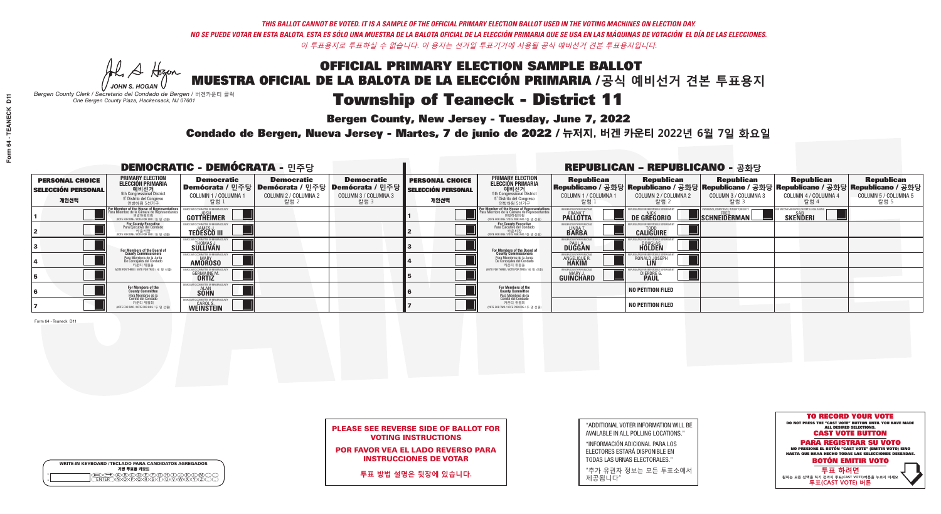Al Stogan *JOHN S. HOGAN*

| <b>WRITE-IN KEYBOARD /TECLADO PARA CANDIDATOS AGREGADOS</b><br>기명 투표용 키보드 |
|---------------------------------------------------------------------------|
| <b>VOIDÆVEVGYAV</b>                                                       |

# Township of Teaneck - District 11

**Bergen County, New Jersey - Tuesday, June 7, 2022** 

*Bergen County Clerk / Secretario del Condado de Bergen /* 버겐카운티 클럭 *One Bergen County Plaza, Hackensack, NJ 07601*



### PLEASE SEE REVERSE SIDE OF BALLOT FOR VOTING INSTRUCTIONS

POR FAVOR VEA EL LADO REVERSO PARA INSTRUCCIONES DE VOTAR

**투표 방법 설명은 뒷장에 있습니다.**

| "ADDITIONAL VOTER INFORMATION WILL BE |
|---------------------------------------|
| AVAILABLE IN ALL POLLING LOCATIONS."  |
|                                       |

"INFORMACIÓN ADICIONAL PARA LOS ELECTORES ESTARÁ DISPONIBLE EN TODAS LAS URNAS ELECTORALES."

"추가 유권자 정보는 모든 투표소에서 제공됩니다"

Condado de Bergen, Nueva Jersey - Martes, 7 de junio de 2022 / 뉴저지, 버겐 카운티 2022년 6월 7일 화요일 *One Bergen County Plaza, Hackensack, NJ 07601*

| <b>DEMOCRATIC - DEMÓCRATA - 민주당</b>                         |                                                                                                                                               |                                                                       |                                                   |                                                                                                              | <b>REPUBLICAN - REPUBLICANO - 공화당</b>                       |                                                                                                                                         |                                                                 |                                                                                                                                                   |                                                   |                                                   |                                                   |  |
|-------------------------------------------------------------|-----------------------------------------------------------------------------------------------------------------------------------------------|-----------------------------------------------------------------------|---------------------------------------------------|--------------------------------------------------------------------------------------------------------------|-------------------------------------------------------------|-----------------------------------------------------------------------------------------------------------------------------------------|-----------------------------------------------------------------|---------------------------------------------------------------------------------------------------------------------------------------------------|---------------------------------------------------|---------------------------------------------------|---------------------------------------------------|--|
| <b>PERSONAL CHOICE</b><br><b>SELECCIÓN PERSONAL</b><br>개인선택 | PRIMARY ELECTION<br><b>ELECCIÓN PRIMARIA</b><br>5th Congressional District<br>5 <sup>o</sup> Distrito del Congreso<br>연방하원 5선거구               | <b>Democratic</b><br>COLUMN 1 / COLUMNA 1<br>칼럼 1                     | <b>Democratic</b><br>COLUMN 2 / COLUMNA 2<br>칼럼 2 | <b>Democratic</b><br>  Demócrata / 민주당   Demócrata / 민주당   Demócrata / 민주당  <br>COLUMN 3 / COLUMNA 3<br>칼럼 3 | <b>PERSONAL CHOICE</b><br><b>SELECCIÓN PERSONAL</b><br>개인선택 | <b>PRIMARY ELECTION</b><br><b>ELECCIÓN PRIMARIA</b><br>예비선거<br>5th Congressional District<br>5 Distrito del Congreso<br>연방하원 5선거구       | <b>Republican</b><br>COLUMN 1 / COLUMNA 1<br>칼럼                 | <b>Republican</b><br> Republicano / 공화당 Republicano / 공화당 Republicano / 공화당 Republicano / 공화당 Republicano / 공화당 <br>COLUMN 2 / COLUMNA 2<br>-칼럼 2 | <b>Republican</b><br>COLUMN 3 / COLUMNA 3<br>칼럼 3 | <b>Republican</b><br>COLUMN 4 / COLUMNA 4<br>칼럼 4 | <b>Republican</b><br>COLUMN 5 / COLUMNA 5<br>칼럼 5 |  |
|                                                             | For Member of the House of Representatives<br>Para Miembro de la Cámara de Representantes<br>연방하원의원<br>(VOTE FOR ONE / VOTE POR UNO / 한 명 선출) | <b>GOTTHEIMER</b>                                                     |                                                   |                                                                                                              |                                                             | <b>For Member of the House of Representative</b><br>Para Miembro de la Cámara de Representante<br>(VOTE FOR ONE / VOTE POR UNO / 한 명 선출 | ERGEN COUNTY REPUBLICAN<br><b>PALLOTTA</b>                      | DE GREGORIO                                                                                                                                       | SCHNEIDERMAN                                      | <b>SKENDERI</b>                                   |                                                   |  |
|                                                             | For County Executive<br>Para Ejecutivo del Condado<br>/OTE FOR ONE / VOTE POR UNO / 한 명 선출)                                                   | <b>TEDESCO III</b>                                                    |                                                   |                                                                                                              |                                                             | For County Executive<br>Para Ejecutivo del Condado<br>7 카운티장<br>(VOTE FOR ONE / VOTE POR UNO / 한 명 선출)                                  | BERGEN COUNTY REPUBLICA<br>LINDA T.                             | <b>CALIGUIRE</b>                                                                                                                                  |                                                   |                                                   |                                                   |  |
|                                                             | For Members of the Board of<br>County Commissioners                                                                                           | EMOCRATIC COMMITTEE OF BERGENTIERT THOMAS J.<br>THOMAS J.<br>SULLIVAN |                                                   |                                                                                                              |                                                             | For Members of the Board o<br>County Commissioners                                                                                      | <b>BERGEN COUNTY REPUBLICAN<br/>PAUL A.<br/>DUGGAN</b>          | <b>DOUGLAS</b>                                                                                                                                    |                                                   |                                                   |                                                   |  |
|                                                             | Para Miembros de la Junta<br>De Concejales del Condado<br>카우티 위원들                                                                             | ATIC COMMITTEE OF BERGEN CO<br><b>AMOROSO</b>                         |                                                   |                                                                                                              |                                                             | Para Miembros de la Junta<br>De Concejales del Condado<br>카운티 위원들                                                                       | 'ERGEN COUNTY REPUBLICAN.<br><b>ANGELIQUE R</b><br><b>HAKIM</b> | RONALD JOSEPH                                                                                                                                     |                                                   |                                                   |                                                   |  |
|                                                             | NOTE FOR THREE / VOTE POR TRES / 세 명 선출)                                                                                                      | <b>GERMAINE M.</b>                                                    |                                                   |                                                                                                              |                                                             | (VOTE FOR THREE / VOTE POR TRES / 세 명 선출)                                                                                               | ERGEN COUNTY REPUBLICAN<br>MARY J<br><b>GUINCHARD</b>           | DIERDRE G                                                                                                                                         |                                                   |                                                   |                                                   |  |
|                                                             | For Members of the<br>County Committee<br>Para Miembros de la<br>Comité del Condado                                                           | OCRATIC COMMITTEE OF BERGEI<br><b>SOHN</b>                            |                                                   |                                                                                                              |                                                             | <b>For Members of the<br/>County Committee</b>                                                                                          |                                                                 | <b>NO PETITION FILED</b>                                                                                                                          |                                                   |                                                   |                                                   |  |
|                                                             | 카운티 위원회<br>(VOTE FOR TWO / VOTE POR DOS / 두 명 선출)                                                                                             | WEINSTEIN                                                             |                                                   |                                                                                                              |                                                             | Para Miembros de la<br>Comité del Condado<br>카운티 위원회<br>NOTE FOR TWO / VOTE POR DOS / 두 명 선출)                                           |                                                                 | <b>NO PETITION FILED</b>                                                                                                                          |                                                   |                                                   |                                                   |  |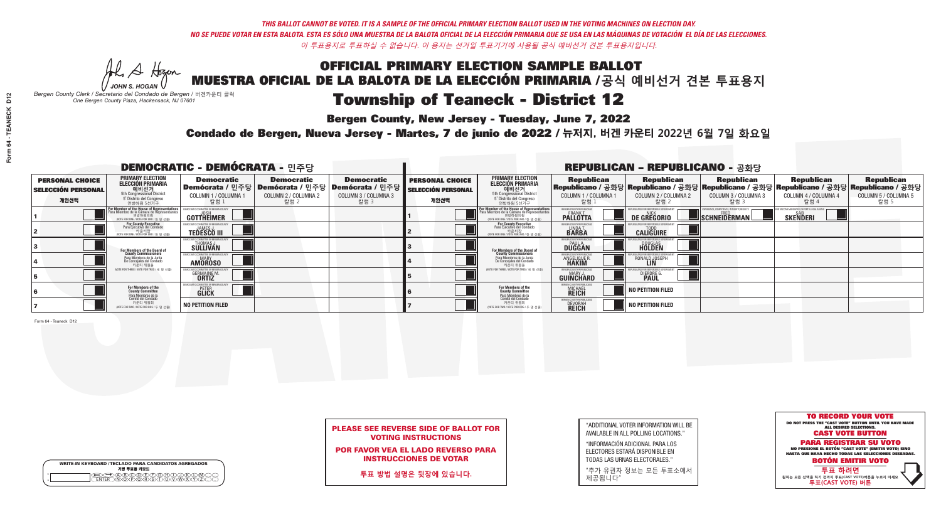He A Hogan *JOHN S. HOGAN*

# Township of Teaneck - District 12

**Bergen County, New Jersey - Tuesday, June 7, 2022** 

*Bergen County Clerk / Secretario del Condado de Bergen /* 버겐카운티 클럭 *One Bergen County Plaza, Hackensack, NJ 07601*

Condado de Bergen, Nueva Jersey - Martes, 7 de junio de 2022 / 뉴저지, 버겐 카운티 2022년 6월 7일 화요일 *One Bergen County Plaza, Hackensack, NJ 07601*



### PLEASE SEE REVERSE SIDE OF BALLOT FOR VOTING INSTRUCTIONS

POR FAVOR VEA EL LADO REVERSO PARA INSTRUCCIONES DE VOTAR

**투표 방법 설명은 뒷장에 있습니다.**

WRITE-IN KEYBOARD /TECLADO PARA CANDIDATOS AGREGADOS<br>기명 투표용 키보드  $\bigoplus \bigoplus \mathbb{A} \oplus \mathbb{C} \oplus \mathbb{C} \oplus \mathbb{C} \oplus \mathbb{C} \oplus \mathbb{C} \cup \mathbb{W} \oplus \mathbb{Z} \oplus \mathbb{Z} \oplus \mathbb{C}$ 

"ADDITIONAL VOTER INFORMATION WILL BE AVAILABLE IN ALL POLLING LOCATIONS."

"INFORMACIÓN ADICIONAL PARA LOS ELECTORES ESTARÁ DISPONIBLE EN TODAS LAS URNAS ELECTORALES."

"추가 유권자 정보는 모든 투표소에서 제공됩니다"

| <b>DEMOCRATIC - DEMÓCRATA - 민주당</b>                         |                                                                                                                                               |                                                             |                                                   |                                                                                                          | <b>REPUBLICAN - REPUBLICANO - 공화당</b>                       |                                                                                                                                                             |                                                            |                                                                                                                                                 |                                                   |                                                   |                                                   |
|-------------------------------------------------------------|-----------------------------------------------------------------------------------------------------------------------------------------------|-------------------------------------------------------------|---------------------------------------------------|----------------------------------------------------------------------------------------------------------|-------------------------------------------------------------|-------------------------------------------------------------------------------------------------------------------------------------------------------------|------------------------------------------------------------|-------------------------------------------------------------------------------------------------------------------------------------------------|---------------------------------------------------|---------------------------------------------------|---------------------------------------------------|
| <b>PERSONAL CHOICE</b><br><b>SELECCIÓN PERSONAL</b><br>개인선택 | PRIMARY ELECTION<br>ELECCIÓN PRIMARIA<br>에비선거<br>5th Congressional District<br>5 <sup>*</sup> Distrito del Congreso<br>연방하원 5선거구              | <b>Democratic</b><br>COLUMN 1 / COLUMNA 1<br>칼럼 1           | <b>Democratic</b><br>COLUMN 2 / COLUMNA 2<br>칼럼 2 | <b>Democratic</b><br>Demócrata / 민주당   Demócrata / 민주당   Demócrata / 민주당<br>COLUMN 3 / COLUMNA 3<br>칼럼 3 | <b>PERSONAL CHOICE</b><br><b>SELECCIÓN PERSONAL</b><br>개인선택 | <b>PRIMARY ELECTION</b><br><b>ELECCIÓN PRIMARIA</b><br>예비선거<br>5th Congressional District<br>5 Distrito del Congreso<br>연방하원 5선거구                           | <b>Republican</b><br>COLUMN 1 / COLUMNA 1<br>칼럼            | <b>Republican</b><br>Republicano / 공화당 Republicano / 공화당 Republicano / 공화당 Republicano / 공화당 Republicano / 공화당<br>COLUMN 2 / COLUMNA 2<br>-칼럼 2 | <b>Republican</b><br>COLUMN 3 / COLUMNA 3<br>칼럼 3 | <b>Republican</b><br>COLUMN 4 / COLUMNA 4<br>칼럼 4 | <b>Republican</b><br>COLUMN 5 / COLUMNA 5<br>칼럼 5 |
|                                                             | For Member of the House of Representatives<br>Para Miembro de la Cámara de Representantes<br>연방하원의원<br>(VOTE FOR ONE / VOTE POR UNO / 한 명 선출) | GOTTHEIMER                                                  |                                                   |                                                                                                          |                                                             | F <mark>or Member of the House of Representatives</mark><br>Para Miembro de la Cámara de Representantes<br>연방하원의원<br>(VOTE FOR ONE / VOTE POR UNO / 한 명 선출) | BERGEN COUNTY REPUBLICANS<br>FRANK T.<br><b>PALLOTTA</b>   | DE GREGORIO                                                                                                                                     | SCHNEIDERMAN                                      | <b>SKENDERI</b>                                   |                                                   |
|                                                             | For County Executive<br>Para Ejecutivo del Condado<br>/OTE FOR ONE / VOTE POR UNO / 한 명 선출)                                                   | <b>TEDESCO III</b>                                          |                                                   |                                                                                                          |                                                             | <b>For County Executive</b><br>Para Ejecutivo del Condado<br>7) 카운티장<br>(VOTE FOR ONE / VOTE POR UNO / 한 명 선출)                                              | BERGEN COUNTY REPUBLICA<br>LINDAT.                         | <b>CALIGUIRE</b>                                                                                                                                |                                                   |                                                   |                                                   |
|                                                             | For Members of the Board of<br>County Commissioners                                                                                           | EMOCRATIC COMMITTEE OF BERGEN LINE<br>THOMAS J.<br>SULLIVAN |                                                   |                                                                                                          |                                                             | <b>For Members of the Board of County Commissioners</b>                                                                                                     | <b>BERGEN COUNTY REPUBLICAN<br/>PAUL A.<br/>DUGGAN</b>     | <b>DOUGLAS</b>                                                                                                                                  |                                                   |                                                   |                                                   |
|                                                             | Para Miembros de la Junta<br>De Concejales del Condado<br>카운티 위원들                                                                             | ATIC COMMITTEE OF BERGEN CO<br><b>AMOROSO</b>               |                                                   |                                                                                                          |                                                             | Para Miembros de la Junta<br>De Concejales del Condado<br>카운티 위원들                                                                                           | ERGEN COUNTY REPUBLICAN<br><b>ANGELIQUE F</b>              | RONALD JOSEPH                                                                                                                                   |                                                   |                                                   |                                                   |
|                                                             | (VOTE FOR THREE / VOTE POR TRES / 세 명 선출)                                                                                                     | <b>GERMAINE M.</b><br><b>ORTIZ</b>                          |                                                   |                                                                                                          |                                                             | (VOTE FOR THREE / VOTE POR TRES / 세 명 선출)                                                                                                                   | ERGEN COUNTY REPUBLICAN<br>MARY J<br><b>GUINCHARD</b>      | DIERDRE G                                                                                                                                       |                                                   |                                                   |                                                   |
|                                                             | For Members of the<br>County Committee<br>Para Miembros de la<br>Comité del Condado                                                           | MOCRATIC COMMITTEE OF BERGEN<br><b>GLICK</b>                |                                                   |                                                                                                          |                                                             | For Members of the<br>County Committee                                                                                                                      | BERGEN COUNTY REPUBLICAN<br><b>MICHAEL</b><br><b>REICH</b> | NO PETITION FILED                                                                                                                               |                                                   |                                                   |                                                   |
|                                                             | 카운티 위원회<br>NOTE FOR TWO / VOTE POR DOS / 두 명 선출)                                                                                              | <b>NO PETITION FILED</b>                                    |                                                   |                                                                                                          |                                                             | Para Miembros de la<br>Comité del Condado<br>카운티 위원회<br>(VOTE FOR TWO / VOTE POR DOS / 두 명 선출)                                                              | BERGEN COUNTY REPUBLICAN<br>DEVORAH<br><b>REICH</b>        | <b>NO PETITION FILED</b>                                                                                                                        |                                                   |                                                   |                                                   |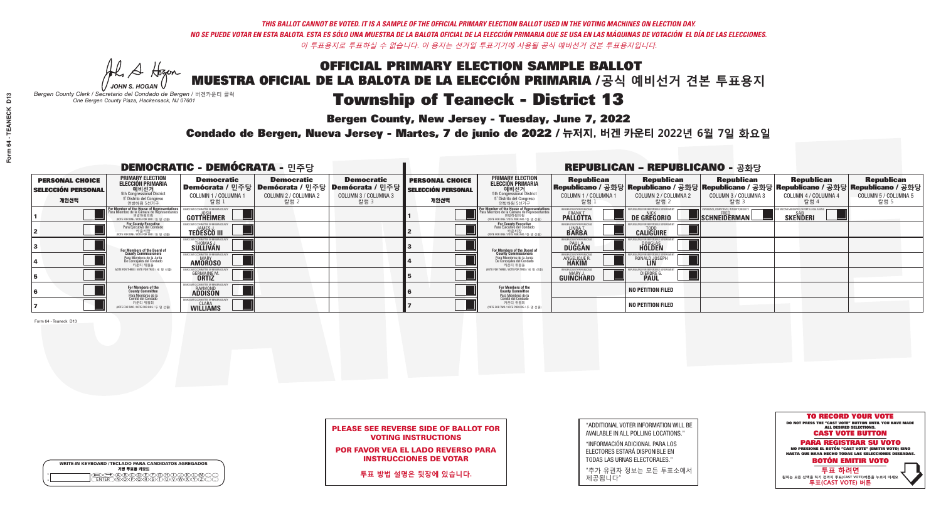**Bergen County, New Jersey - Tuesday, June 7, 2022** 

Al Stogan *JOHN S. HOGAN*

| <b>WRITE-IN KEYBOARD /TECLADO PARA CANDIDATOS AGREGADOS</b><br>기명 투표용 키보드 |
|---------------------------------------------------------------------------|
| <b>ARYOUT F</b>                                                           |

*Bergen County Clerk / Secretario del Condado de Bergen /* 버겐카운티 클럭 *One Bergen County Plaza, Hackensack, NJ 07601*



### PLEASE SEE REVERSE SIDE OF BALLOT FOR VOTING INSTRUCTIONS

POR FAVOR VEA EL LADO REVERSO PARA INSTRUCCIONES DE VOTAR

**투표 방법 설명은 뒷장에 있습니다.**

| "ADDITIONAL VOTER INFORMATION WILL BE |
|---------------------------------------|
| AVAILABLE IN ALL POLLING LOCATIONS."  |
|                                       |

"INFORMACIÓN ADICIONAL PARA LOS ELECTORES ESTARÁ DISPONIBLE EN TODAS LAS URNAS ELECTORALES."

"추가 유권자 정보는 모든 투표소에서 제공됩니다"

Condado de Bergen, Nueva Jersey - Martes, 7 de junio de 2022 / 뉴저지, 버겐 카운티 2022년 6월 7일 화요일 *One Bergen County Plaza, Hackensack, NJ 07601*

| <b>DEMOCRATIC - DEMÓCRATA - 민주당</b>                         |                                                                                                                                        |                                                                 |                                                   |                                                                                                            | <b>REPUBLICAN - REPUBLICANO - 공화당</b>                       |                                                                                                                                   |                                                                      |                                                    |                                                                                                                                                |                                                   |                                                   |
|-------------------------------------------------------------|----------------------------------------------------------------------------------------------------------------------------------------|-----------------------------------------------------------------|---------------------------------------------------|------------------------------------------------------------------------------------------------------------|-------------------------------------------------------------|-----------------------------------------------------------------------------------------------------------------------------------|----------------------------------------------------------------------|----------------------------------------------------|------------------------------------------------------------------------------------------------------------------------------------------------|---------------------------------------------------|---------------------------------------------------|
| <b>PERSONAL CHOICE</b><br><b>SELECCIÓN PERSONAL</b><br>개인선택 | <b>PRIMARY ELECTION</b><br><b>ELECCIÓN PRIMARIA</b><br>5th Congressional District<br>5 <sup>o</sup> Distrito del Congreso<br>연방하원 5선거구 | <b>Democratic</b><br>COLUMN 1 / COLUMNA<br>_ 칼럼 1               | <b>Democratic</b><br>COLUMN 2 / COLUMNA 2<br>칼럼 2 | <b>Democratic</b><br>Demócrata / 민주당   Demócrata / 민주당   Demócrata / 민주당  <br>COLUMN 3 / COLUMNA 3<br>칼럼 3 | <b>PERSONAL CHOICE</b><br><b>SELECCIÓN PERSONAL</b><br>개인선택 | <b>PRIMARY ELECTION</b><br>ELECCIÓN PRIMARIA<br>5th Congressional District<br>5° Distrito del Congreso<br>연방하원 5선거구               | <b>Republican</b><br>COLUMN 1 / COLUMNA 1<br>,칼럼 1                   | <b>Republican</b><br>COLUMN 2 / COLUMNA 2<br>,칼럼 2 | <b>Republican</b><br>Republicano / 공화당 Republicano / 공화당 Republicano / 공화당 Republicano / 공화당 Republicano / 공화당<br>COLUMN 3 / COLUMNA 3<br>칼럼 3 | <b>Republican</b><br>COLUMN 4 / COLUMNA 4<br>칼럼 4 | <b>Republican</b><br>COLUMN 5 / COLUMNA 5<br>칼럼 5 |
|                                                             | or Member of the House of Representatives<br>Para Miembro de la Cámara de Representantes<br>NOTE FOR ONE 7 VOTE POR UNO / 한 명 선출)      | COMMITTEE OF BERGEN C<br>GOTTHËIMER                             |                                                   |                                                                                                            |                                                             | For Member of the House of Representatives<br>Para Miembro de la Cámara de Representantes<br>WOTE FOR ONE / VOTE POR UNO / 한 명 선출 | BERGEN COUNTY REPUBLICANS<br><b>PALLOTTA</b>                         | DE GREGORIO                                        | PERIENCE, COMPETENCE, INTEGRITY, RESULT:<br>SCHNEIDERMAN                                                                                       | <b>SAR</b><br><b>SKENDERI</b>                     |                                                   |
|                                                             | For County Executive<br>Para Ejecutivo del Condado<br>, 카운티장<br>/OTE FOR ONE /VOTE POR UNO / 한 명 선출)                                   | JEMOCRATIC COMMITTEE OF BERGEN COUNT<br><b>TEDESCO III</b>      |                                                   |                                                                                                            |                                                             | For County Executive<br>Para Ejecutivo del Condado<br>, "아운티장<br>"카운티장<br>"MOTE FOR ONE / VOTE POR UNO / 한 명 선축                   | BERGEN COUNTY REPUBLICAN<br>LINDA T.                                 | <b>CALIGUIRE</b>                                   |                                                                                                                                                |                                                   |                                                   |
|                                                             | For Members of the Board of<br>County Commissioners                                                                                    | THOMAS J.                                                       |                                                   |                                                                                                            |                                                             | <b>For Members of the Board of<br/>County Commissioners</b>                                                                       | <b>BERGEN COUNTY REPUBLICAN<br/>PAUL A.<br/>DUGGAN</b>               | <b>DOUGLAS</b><br><b>HOLDEN</b>                    |                                                                                                                                                |                                                   |                                                   |
|                                                             | Para Miembros de la Junta<br>De Concejales del Condado<br>카운티 위원들                                                                      | ATIC COMMITTEE OF BEBGEN COUN<br><b>AMOROSO</b>                 |                                                   |                                                                                                            |                                                             | Para Miembros de la Junta<br>De Concejales del Condado<br>카운티 위원들                                                                 | <b>FRGEN COUNTY REPUBLICAN</b><br><b>ANGELIQUE R</b><br><b>HAKIM</b> | RONALD JOSEPH<br><b>LIN</b>                        |                                                                                                                                                |                                                   |                                                   |
|                                                             | (VOTE FOR THREE / VOTE POR TRES / 세 명 선출)                                                                                              | <b>GERMAINE M</b><br><b>ORTIZ</b>                               |                                                   |                                                                                                            |                                                             | (VOTE FOR THREE / VOTE POR TRES / 세 명 선출)                                                                                         | BERGEN COUNTY REPUBLICANS<br>MARY J<br>GUINCHARD                     | <b>DIERDRE</b>                                     |                                                                                                                                                |                                                   |                                                   |
|                                                             | For Members of the<br>County Committee<br>Para Miembros de la                                                                          | OCRATIC COMMITTEE OF BERGEN<br><b>RAYMOND</b><br><b>ADDISON</b> |                                                   |                                                                                                            |                                                             | For Members of the<br>County Committee                                                                                            |                                                                      | <b>NO PETITION FILED</b>                           |                                                                                                                                                |                                                   |                                                   |
|                                                             | Comité del Condado<br>카운티 위원회<br>(VOTE FOR TWO / VOTE POR DOS / 두 명 선출)                                                                | <b>WILLIAMS</b>                                                 |                                                   |                                                                                                            |                                                             | Para Miembros de la<br>Comité del Condado<br>카운티 위원회<br>NOTE FOR TWO / VOTE POR DOS / 두 명 선출)                                     |                                                                      | <b>NO PETITION FILED</b>                           |                                                                                                                                                |                                                   |                                                   |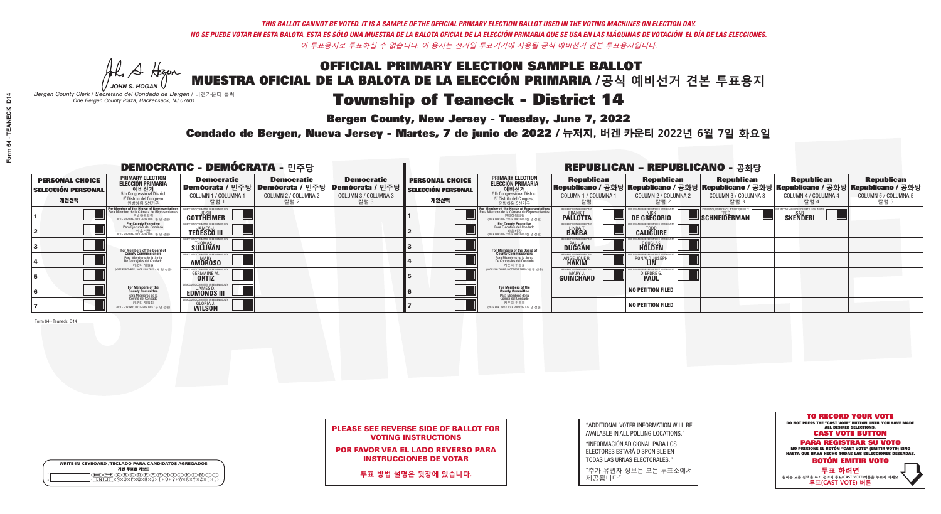He A Hogen *JOHN S. HOGAN*

# Township of Teaneck - District 14

**Bergen County, New Jersey - Tuesday, June 7, 2022** 

*Bergen County Clerk / Secretario del Condado de Bergen /* 버겐카운티 클럭 *One Bergen County Plaza, Hackensack, NJ 07601*



### PLEASE SEE REVERSE SIDE OF BALLOT FOR VOTING INSTRUCTIONS

POR FAVOR VEA EL LADO REVERSO PARA INSTRUCCIONES DE VOTAR

**투표 방법 설명은 뒷장에 있습니다.**

|              | <b>WRITE-IN KEYBOARD /TECLADO PARA CANDIDATOS AGREGADOS</b><br>기명 투표용 키보드 |
|--------------|---------------------------------------------------------------------------|
| o<br>$\circ$ |                                                                           |

| "ADDITIONAL VOTER INFORMATION WILL BE |
|---------------------------------------|
| AVAILABLE IN ALL POLLING LOCATIONS."  |
|                                       |

"INFORMACIÓN ADICIONAL PARA LOS ELECTORES ESTARÁ DISPONIBLE EN TODAS LAS URNAS ELECTORALES."

"추가 유권자 정보는 모든 투표소에서 제공됩니다"

Condado de Bergen, Nueva Jersey - Martes, 7 de junio de 2022 / 뉴저지, 버겐 카운티 2022년 6월 7일 화요일 *One Bergen County Plaza, Hackensack, NJ 07601*

| <b>DEMOCRATIC - DEMÓCRATA - 민주당</b>                         |                                                                                                                                        |                                                                    |                                                   |                                                                                                              |                                                             | <b>REPUBLICAN - REPUBLICANO - 공화당</b>                                                                                                            |                                                                      |                                                    |                                                           |                                                                                                                                                |                                                   |  |  |
|-------------------------------------------------------------|----------------------------------------------------------------------------------------------------------------------------------------|--------------------------------------------------------------------|---------------------------------------------------|--------------------------------------------------------------------------------------------------------------|-------------------------------------------------------------|--------------------------------------------------------------------------------------------------------------------------------------------------|----------------------------------------------------------------------|----------------------------------------------------|-----------------------------------------------------------|------------------------------------------------------------------------------------------------------------------------------------------------|---------------------------------------------------|--|--|
| <b>PERSONAL CHOICE</b><br><b>SELECCIÓN PERSONAL</b><br>개인선택 | <b>PRIMARY ELECTION</b><br>ELECCIÓN PRIMARIA<br>예비선거<br><sub>5th Congressional</sub> District<br>5° Distrito del Congreso<br>연방하원 5선거구 | <b>Democratic</b><br>COLUMN 1 / COLUMNA<br>칼럼 1                    | <b>Democratic</b><br>COLUMN 2 / COLUMNA 2<br>칼럼 2 | <b>Democratic</b><br>  Demócrata / 민주당   Demócrata / 민주당   Demócrata / 민주당  <br>COLUMN 3 / COLUMNA 3<br>칼럼 3 | <b>PERSONAL CHOICE</b><br><b>SELECCIÓN PERSONAL</b><br>개인선택 | <b>PRIMARY ELECTION</b><br><b>ELECCIÓN PRIMARIA</b><br>예비선거<br>5th Congressional District<br>5 Distrito del Congreso<br>연방하원 5선거구                | <b>Republican</b><br>COLUMN 1 / COLUMNA 1<br>, 칼럼 :                  | <b>Republican</b><br>COLUMN 2 / COLUMNA 2<br>·칼럼 2 | <b>Republican</b><br>COLUMN 3 / COLUMNA 3<br>칼럼 3         | <b>Republican</b><br>Republicano / 공화당 Republicano / 공화당 Republicano / 공화당 Republicano / 공화당 Republicano / 공화당<br>COLUMN 4 / COLUMNA 4<br>칼럼 4 | <b>Republican</b><br>COLUMN 5 / COLUMNA 5<br>칼럼 5 |  |  |
|                                                             | For Member of the House of Representatives<br>Para Miembro de la Cámara de Representantes<br>NOTE FOR ONE / VOTE POR UNO / 한 명 선출)     | DEMOCRATIC COMMITTEE OF BERGEN COUN<br>GOTTHEIMER                  |                                                   |                                                                                                              |                                                             | F <mark>or Member of the House of Representatives</mark><br>Para Miembro de la Cámara de Representantes<br>NOTE FOR ONE / VOTE POR UNO / 한 명 선출) | BERGEN COUNTY REPUBLICANS<br><b>FRANK T.</b><br><b>PALLOTTA</b>      | DE GREGORIO                                        | 'PERIENCE, COMPETENCE, INTEGRITY, RESULTS<br>SCHNEIDERMAN | <b>SAB</b><br><b>SKENDERI</b>                                                                                                                  |                                                   |  |  |
|                                                             | For County Executive<br>Para Ejecutivo del Condado<br>vOTE FOR ONE / VOTE POR UNO / 한 명 선출)                                            | JAMES,<br><b>TEDESCO III</b>                                       |                                                   |                                                                                                              |                                                             | For County Executive<br>Para Ejecutivo del Condado<br>. 카운티장<br>(VOTE FOR ONE / VOTE POR UNO / 한 명 선출)                                           | BERGEN COUNTY REPUBLICAN<br>LINDA T.                                 | <b>CALIGUIRE</b>                                   |                                                           |                                                                                                                                                |                                                   |  |  |
|                                                             | For Members of the Board of<br>County Commissioners                                                                                    | <b>THOMAS J.</b><br><b>SULLIVAN</b>                                |                                                   |                                                                                                              |                                                             | <b>For Members of the Board of County Commissioners</b>                                                                                          | BERGEN COUNTY REPUBLICAN<br><b>PAUL A.</b><br><b>DUGGAN</b>          | <b>DOUGLAS</b>                                     |                                                           |                                                                                                                                                |                                                   |  |  |
|                                                             | Para Miembros de la Junta<br>De Concejales del Condado<br>카운티 위원들                                                                      | IC COMMITTEE OF RERGEN COLL<br><b>MARY</b><br><b>AMOROSO</b>       |                                                   |                                                                                                              |                                                             | Para Miembros de la Junta<br>De Concejales del Condado<br>카운티 위원들                                                                                | <b>FRGEN COUNTY REPUBLICAN</b><br><b>ANGELIQUE R</b><br><b>HAKIM</b> | RONALD JOSEPH<br><b>LIN</b>                        |                                                           |                                                                                                                                                |                                                   |  |  |
|                                                             | (VOTE FOR THREE / VOTE POR TRES / 세 명 선출)                                                                                              | <b>GERMAINE M.</b><br><b>ORTIZ</b>                                 |                                                   |                                                                                                              |                                                             | (VOTE FOR THREE / VOTE POR TRES / 세 명 선출)                                                                                                        | BERGEN COUNTY REPUBLICANS<br>MARY J.<br><b>GUINCHARD</b>             | <b>DIERDRE</b>                                     |                                                           |                                                                                                                                                |                                                   |  |  |
|                                                             | For Members of the<br>County Committee<br>Para Miembros de la<br>Comité del Condado                                                    | EMOCRATIC COMMITTEE OF BERGEN C<br>JAMES D.<br><b>EDMONDS III</b>  |                                                   |                                                                                                              |                                                             | For Members of the<br>County Committee<br>Para Miembros de la<br>Comité del Condado                                                              |                                                                      | <b>NO PETITION FILED</b>                           |                                                           |                                                                                                                                                |                                                   |  |  |
|                                                             | 카운티 위원회<br>(VOTE FOR TWO / VOTE POR DOS / 두 명 선출)                                                                                      | FMOCRATIC COMMITTEE OF BERGEI<br><b>GLORIA J.</b><br><b>WILSON</b> |                                                   |                                                                                                              |                                                             | 카운티 위원회<br>NOTE FOR TWO / VOTE POR DOS / 두 명 선출)                                                                                                 |                                                                      | <b>NO PETITION FILED</b>                           |                                                           |                                                                                                                                                |                                                   |  |  |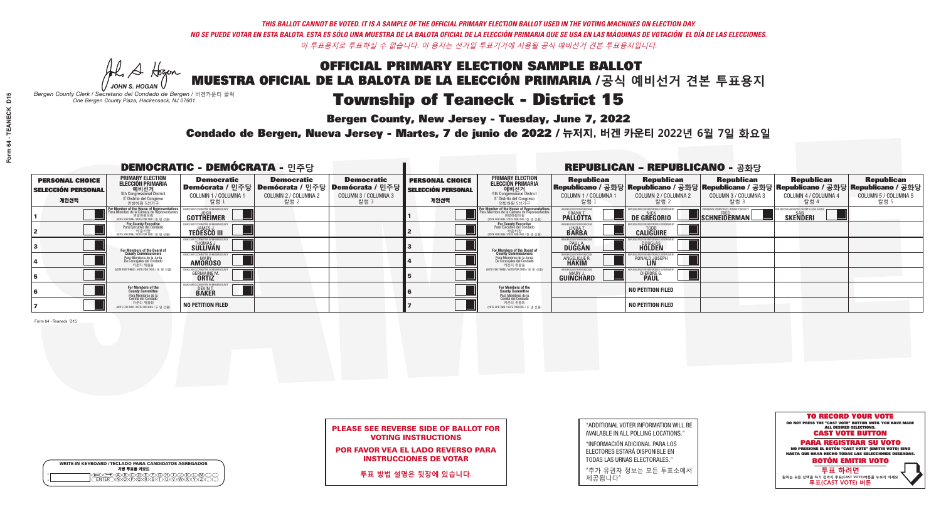**Bergen County, New Jersey - Tuesday, June 7, 2022** 

Al Stogan *JOHN S. HOGAN*

*Bergen County Clerk / Secretario del Condado de Bergen /* 버겐카운티 클럭 *One Bergen County Plaza, Hackensack, NJ 07601*

Condado de Bergen, Nueva Jersey - Martes, 7 de junio de 2022 / 뉴저지, 버겐 카운티 2022년 6월 7일 화요일 *One Bergen County Plaza, Hackensack, NJ 07601*



### PLEASE SEE REVERSE SIDE OF BALLOT FOR VOTING INSTRUCTIONS

POR FAVOR VEA EL LADO REVERSO PARA INSTRUCCIONES DE VOTAR

**투표 방법 설명은 뒷장에 있습니다.**

WRITE-IN KEYBOARD /TECLADO PARA CANDIDATOS AGREGADOS<br>기명 투표용 키보드  $\bigoplus \bigoplus \mathbb{A} \oplus \mathbb{C} \oplus \mathbb{C} \oplus \mathbb{C} \oplus \mathbb{C} \oplus \mathbb{C} \cup \mathbb{W} \oplus \mathbb{Z} \oplus \mathbb{Z} \oplus \mathbb{C}$ 

| "ADDITIONAL VOTER INFORMATION WILL BE |
|---------------------------------------|
| AVAILABLE IN ALL POLLING LOCATIONS."  |
|                                       |

"INFORMACIÓN ADICIONAL PARA LOS ELECTORES ESTARÁ DISPONIBLE EN TODAS LAS URNAS ELECTORALES."

"추가 유권자 정보는 모든 투표소에서 제공됩니다"

| <b>DEMOCRATIC - DEMÓCRATA - 민주당</b>                         |                                                                                                                                                             |                                                            |                                                   |                                                                                                              |                                                             |                                                                                                                                    |                                                              | <b>REPUBLICAN - REPUBLICANO - 공화당</b>                                                                                                           |                                                          |                                                              |                                                   |
|-------------------------------------------------------------|-------------------------------------------------------------------------------------------------------------------------------------------------------------|------------------------------------------------------------|---------------------------------------------------|--------------------------------------------------------------------------------------------------------------|-------------------------------------------------------------|------------------------------------------------------------------------------------------------------------------------------------|--------------------------------------------------------------|-------------------------------------------------------------------------------------------------------------------------------------------------|----------------------------------------------------------|--------------------------------------------------------------|---------------------------------------------------|
| <b>PERSONAL CHOICE</b><br><b>SELECCIÓN PERSONAL</b><br>개인선택 | <b>PRIMARY ELECTION</b><br>ELECCIÓN PRIMARIA<br>에비선거<br>5th Congressional District<br>5 <sup>*</sup> Distrito del Congreso<br>연방하원 5선거구                     | <b>Democratic</b><br>COLUMN 1 / COLUMNA<br>칼럼 1            | <b>Democratic</b><br>COLUMN 2 / COLUMNA 2<br>칼럼 2 | <b>Democratic</b><br>  Demócrata / 민주당   Demócrata / 민주당   Demócrata / 민주당  <br>COLUMN 3 / COLUMNA 3<br>칼럼 3 | <b>PERSONAL CHOICE</b><br><b>SELECCIÓN PERSONAL</b><br>개인선택 | <b>PRIMARY ELECTION</b><br>ELECCIÓN PRIMARIA<br>예비선거<br><sub>5</sub> District<br>5 Distrite del Congreso<br>연방하원 5선거구              | <b>Republican</b><br>COLUMN 1 / COLUMNA 1<br>'칼럼 ∶           | <b>Republican</b><br>Republicano / 공화당 Republicano / 공화당 Republicano / 공화당 Republicano / 공화당 Republicano / 공화당<br>COLUMN 2 / COLUMNA 2<br>-칼럼 2 | <b>Republican</b><br>COLUMN 3 / COLUMNA 3<br>칼럼 3        | <b>Republican</b><br>COLUMN 4 / COLUMNA 4<br>칼럼 4            | <b>Republican</b><br>COLUMN 5 / COLUMNA 5<br>칼럼 5 |
|                                                             | F <mark>or Member of the House of Representatives</mark><br>Para Miembro de la Cámara de Representantes<br>연방하원의원<br>(VOTE FOR ONE / VOTE POR UNO / 한 명 선출) | COMMITTEE OF BERGEN C<br>GOTTHEIMER                        |                                                   |                                                                                                              |                                                             | For Member of the House of Representatives<br>Para Miembro de la Cámara de Representanter<br>NOTE FOR ONE / VOTE POR UNO / 한 명 선출) | BERGEN COUNTY REPUBLICANS<br>FRANK T.<br><b>PALLOTTA</b>     | DE GREGORIO                                                                                                                                     | XPERIENCE. COMPETENCE. INTEGRITY. RESULT<br>SCHNEIDERMAN | ND VACCINE MANDATES. DEPORT ILLEGAL ALIEN<br><b>SKENDERI</b> |                                                   |
|                                                             | For County Executive<br>Para Ejecutivo del Condado<br>가운티장<br>VOTE FOR ONE / VOTE POR UNO / 한 명 선출)                                                         | DEMOCRATIC COMMITTEE OF BERGEN (<br><b>TEDESCO III</b>     |                                                   |                                                                                                              |                                                             | <b>For County Executive</b><br>Para Ejecutivo del Condado<br>7) 카운티장<br>(VOTE FOR ONE / VOTE POR UNO / 한 명 선출)                     | BERGEN COUNTY REPUBLICA<br>LINDA T.                          | <b>CALIGUIRE</b>                                                                                                                                |                                                          |                                                              |                                                   |
|                                                             | For Members of the Board of<br>County Commissioners                                                                                                         | <b>THOMAS J.</b><br><b>SULLIVAN</b>                        |                                                   |                                                                                                              |                                                             | For Members of the Board of<br>County Commissioners                                                                                | ERGEN COUNTY REPUBLICA<br><b>DUGGAN</b>                      | <b>DOUGLAS</b>                                                                                                                                  |                                                          |                                                              |                                                   |
|                                                             | Para Miembros de la Junta<br>De Concejales del Condado<br>카운티 위원들                                                                                           | : COMMITTEE OF BERGEN COL<br><b>MARY</b><br><b>AMOROSO</b> |                                                   |                                                                                                              |                                                             | Para Miembros de la Junta<br>De Concejales del Condado<br>카운티 위원들                                                                  | ERGEN COUNTY REPUBLICAN<br><b>ANGELIQUE R</b>                | RONALD JOSEPH                                                                                                                                   |                                                          |                                                              |                                                   |
|                                                             | (VOTE FOR THREE / VOTE POR TRES / 세 명 선출)                                                                                                                   | <b>GERMAINE M.</b><br><b>ORTIZ</b>                         |                                                   |                                                                                                              |                                                             | (VOTE FOR THREE / VOTE POR TRES / 세 명 선출)                                                                                          | ERGEN COUNTY REPUBLICAN<br><b>MARY J</b><br><b>GUINCHARD</b> | <b>DIERDRE</b>                                                                                                                                  |                                                          |                                                              |                                                   |
|                                                             | For Members of the<br>County Committee<br><sup>p</sup> ara Miembros de la<br>Comité del Condado                                                             | EMOCRATIC COMMITTEE OF BERGEN<br><b>DEVINT.</b>            |                                                   |                                                                                                              |                                                             | For Members of the<br>County Committee                                                                                             |                                                              | <b>NO PETITION FILED</b>                                                                                                                        |                                                          |                                                              |                                                   |
|                                                             | 카운티 위원회<br>(VOTE FOR TWO / VOTE POR DOS / 두 명 선출)                                                                                                           | <b>NO PETITION FILED</b>                                   |                                                   |                                                                                                              |                                                             | Para Miembros de la<br>Comité del Condado<br>카운티 위원회<br>(VOTE FOR TWO / VOTE POR DOS / 두 명 선출)                                     |                                                              | <b>NO PETITION FILED</b>                                                                                                                        |                                                          |                                                              |                                                   |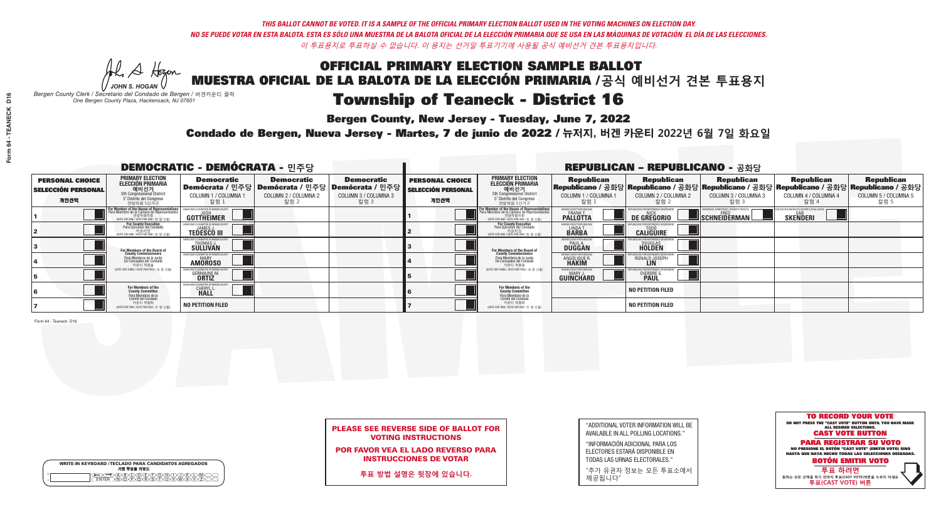**Bergen County, New Jersey - Tuesday, June 7, 2022** 

Al Stogan *JOHN S. HOGAN*

|                    | <b>WRITE-IN KEYBOARD /TECLADO PARA CANDIDATOS AGREGADOS</b><br>기명 투표용 키보드 |  |
|--------------------|---------------------------------------------------------------------------|--|
| $\circ$<br>$\circ$ |                                                                           |  |

*Bergen County Clerk / Secretario del Condado de Bergen /* 버겐카운티 클럭 *One Bergen County Plaza, Hackensack, NJ 07601*

Condado de Bergen, Nueva Jersey - Martes, 7 de junio de 2022 / 뉴저지, 버겐 카운티 2022년 6월 7일 화요일 *One Bergen County Plaza, Hackensack, NJ 07601*



### PLEASE SEE REVERSE SIDE OF BALLOT FOR VOTING INSTRUCTIONS

POR FAVOR VEA EL LADO REVERSO PARA INSTRUCCIONES DE VOTAR

**투표 방법 설명은 뒷장에 있습니다.**

| "ADDITIONAL VOTER INFORMATION WILL BE |
|---------------------------------------|
| AVAILABLE IN ALL POLLING LOCATIONS."  |
|                                       |

"INFORMACIÓN ADICIONAL PARA LOS ELECTORES ESTARÁ DISPONIBLE EN TODAS LAS URNAS ELECTORALES."

"추가 유권자 정보는 모든 투표소에서 제공됩니다"

| <b>DEMOCRATIC - DEMÓCRATA - 민주당</b>                         |                                                                                                                                        |                                                    |                                                   |                                                                                                                    | <b>REPUBLICAN - REPUBLICANO - 공화당</b>                       |                                                                                                                                                  |                                                             |                                                                                                                                                |                                                           |                                                               |                                                   |
|-------------------------------------------------------------|----------------------------------------------------------------------------------------------------------------------------------------|----------------------------------------------------|---------------------------------------------------|--------------------------------------------------------------------------------------------------------------------|-------------------------------------------------------------|--------------------------------------------------------------------------------------------------------------------------------------------------|-------------------------------------------------------------|------------------------------------------------------------------------------------------------------------------------------------------------|-----------------------------------------------------------|---------------------------------------------------------------|---------------------------------------------------|
| <b>PERSONAL CHOICE</b><br><b>SELECCIÓN PERSONAL</b><br>개인선택 | <b>PRIMARY ELECTION</b><br>ELECCIÓN PRIMARIA<br>예비선거<br><sub>5th Congressional</sub> District<br>5° Distrito del Congreso<br>연방하원 5선거구 | <b>Democratic</b><br>COLUMN 1 / COLUMNA<br>칼럼 1    | <b>Democratic</b><br>COLUMN 2 / COLUMNA 2<br>칼럼 2 | <b>Democratic</b><br>  Demócrata / 민주당   Demócrata / 민주당   Demócrata / 민주당 <br><b>COLUMN 3 / COLUMNA 3</b><br>칼럼 3 | <b>PERSONAL CHOICE</b><br><b>SELECCIÓN PERSONAL</b><br>개인선택 | <b>PRIMARY ELECTION</b><br>ELECCIÓN PRIMARIA<br>예비선거<br><sub>5</sub> District<br>5 Distrite del Congreso<br>연방하원 5선거구                            | <b>Republican</b><br>COLUMN 1 / COLUMNA 1<br>"칼럼 1          | <b>Republican</b><br>Republicano / 공화당 Republicano / 공화당 Republicano / 공화당 Republicano / 공화당 Republicano / 공화당<br>COLUMN 2 / COLUMNA 2<br>칼럼 2 | <b>Republican</b><br>COLUMN 3 / COLUMNA 3<br>칼럼 3         | <b>Republican</b><br>COLUMN 4 / COLUMNA 4<br>칼럼 4             | <b>Republican</b><br>COLUMN 5 / COLUMNA 5<br>칼럼 5 |
|                                                             | For Member of the House of Representatives<br>Para Miembro de la Cámara de Representantes                                              | DEMOCRATIC COMMITTEE OF BERGEN COUN<br>GOTTHEIMER  |                                                   |                                                                                                                    |                                                             | F <mark>or Member of the House of Representatives</mark><br>Para Miembro de la Cámara de Representantes<br>WOTE FOR ONE / VOTE POR UNO / 한 명 선출) | BERGEN COUNTY REPUBLICANS<br><b>FRANK T</b><br>PALLOTTA     | DE GREGORIO                                                                                                                                    | XPERIENCE, COMPETENCE, INTEGRITY, RESULTS<br>SCHNEIDERMAN | ND VACCINE MANDATES, DEPORT ILLEGAL ALIENS<br><b>SKENDERI</b> |                                                   |
|                                                             | For County Executive<br>Para Ejecutivo del Condado<br>VOTE FOR ONE / VOTE POR UNO / 한 명 선출)                                            | JAMES J<br><b>TEDESCO III</b>                      |                                                   |                                                                                                                    |                                                             | For County Executive<br>Para Ejecutivo del Condado<br>. 카운티장<br>(VOTE FOR ONE / VOTE POR UNO / 한 명 선출)                                           | BERGEN COUNTY REPUBLICAN<br>LINDA T.                        | <b>CALIGUIRE</b>                                                                                                                               |                                                           |                                                               |                                                   |
|                                                             | For Members of the Board of<br>County Commissioners                                                                                    | THOMAS J.                                          |                                                   |                                                                                                                    |                                                             | <b>For Members of the Board of County Commissioners</b>                                                                                          | BERGEN COUNTY REPUBLICAN<br><b>PAUL A.</b><br><b>DUGGAN</b> | <b>DOUGLAS</b><br><b>HOLDEN</b>                                                                                                                |                                                           |                                                               |                                                   |
|                                                             | Para Miembros de la Junta<br>De Concejales del Condado<br>카우티 위원들                                                                      | CRATIC COMMITTEE OF BERGEN COUN'<br><b>AMOROSO</b> |                                                   |                                                                                                                    |                                                             | Para Miembros de la Junta<br>De Concejales del Condado<br>카운티 위원들                                                                                | ERGEN COUNTY REPUBLICAN<br><b>ANGELIQUE F</b>               | RONALD JOSEPH                                                                                                                                  |                                                           |                                                               |                                                   |
|                                                             | (VOTE FOR THREE / VOTE POR TRES / 세 명 선출)                                                                                              | <b>GERMAINE M.</b><br><b>ORTIZ</b>                 |                                                   |                                                                                                                    |                                                             | (VOTE FOR THREE / VOTE POR TRES / 세 명 선출)                                                                                                        | ERGEN COUNTY REPUBLICAN<br>MARY J<br><b>GUINCHARD</b>       | <b>DIERDRE G<br/>PAUL</b>                                                                                                                      |                                                           |                                                               |                                                   |
|                                                             | For Members of the<br>County Committee<br>Para Miembros de la<br>Comité del Condado                                                    | MOCRATIC COMMITTEE OF BERGEN<br><b>CHERYLL</b>     |                                                   |                                                                                                                    |                                                             | For Members of the<br>County Committee                                                                                                           |                                                             | <b>NO PETITION FILED</b>                                                                                                                       |                                                           |                                                               |                                                   |
|                                                             | 카운티 위원회<br>NOTE FOR TWO / VOTE POR DOS / 두 명 선출)                                                                                       | <b>NO PETITION FILED</b>                           |                                                   |                                                                                                                    |                                                             | Para Miembros de la<br>Comité del Condado<br>카운티 위원회<br>(VOTE FOR TWO / VOTE POR DOS / 두 명 선출)                                                   |                                                             | <b>NO PETITION FILED</b>                                                                                                                       |                                                           |                                                               |                                                   |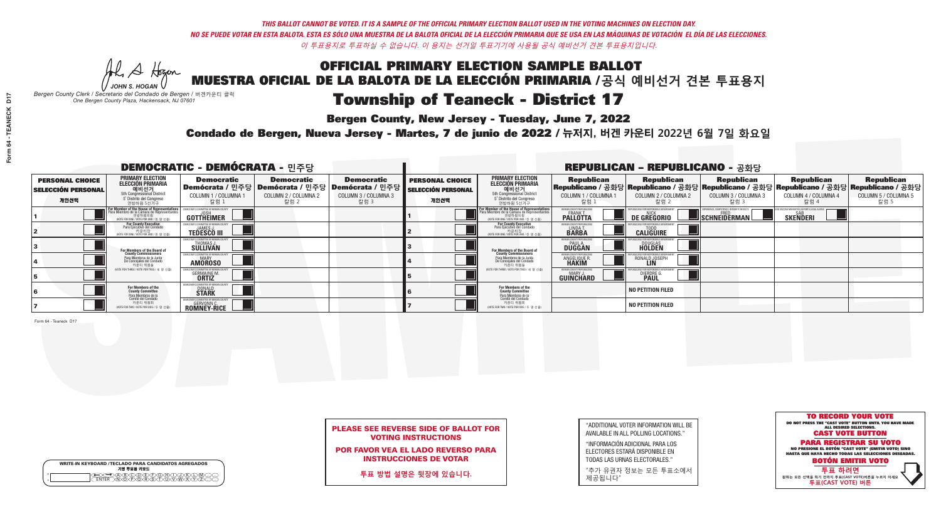Al Stogan *JOHN S. HOGAN*

# Township of Teaneck - District 17

**Bergen County, New Jersey - Tuesday, June 7, 2022** 

*Bergen County Clerk / Secretario del Condado de Bergen /* 버겐카운티 클럭 *One Bergen County Plaza, Hackensack, NJ 07601*



### PLEASE SEE REVERSE SIDE OF BALLOT FOR VOTING INSTRUCTIONS

POR FAVOR VEA EL LADO REVERSO PARA INSTRUCCIONES DE VOTAR

**투표 방법 설명은 뒷장에 있습니다.**

WRITE-IN KEYBOARD /TECLADO PARA CANDIDATOS AGREGADOS<br>기명 투표용 키보드  $\bigoplus \bigoplus \mathbb{A} \oplus \mathbb{C} \oplus \mathbb{C} \oplus \mathbb{C} \oplus \mathbb{C} \oplus \mathbb{C} \cup \mathbb{W} \oplus \mathbb{Z} \oplus \mathbb{Z} \oplus \mathbb{C}$ 

| "ADDITIONAL VOTER INFORMATION WILL BE |
|---------------------------------------|
| AVAILABLE IN ALL POLLING LOCATIONS."  |
|                                       |

"INFORMACIÓN ADICIONAL PARA LOS ELECTORES ESTARÁ DISPONIBLE EN TODAS LAS URNAS ELECTORALES."

"추가 유권자 정보는 모든 투표소에서 제공됩니다"

Condado de Bergen, Nueva Jersey - Martes, 7 de junio de 2022 / 뉴저지, 버겐 카운티 2022년 6월 7일 화요일 *One Bergen County Plaza, Hackensack, NJ 07601*

| <b>DEMOCRATIC - DEMÓCRATA - 민주당</b>                         |                                                                                                                                                      |                                                                                      |                                                   |                                                                      |                                                             |                                                                                                                                           |                                                                      | <b>REPUBLICAN - REPUBLICANO - 공화당</b>              |                                                          |                                                                                                                                                |                                                   |
|-------------------------------------------------------------|------------------------------------------------------------------------------------------------------------------------------------------------------|--------------------------------------------------------------------------------------|---------------------------------------------------|----------------------------------------------------------------------|-------------------------------------------------------------|-------------------------------------------------------------------------------------------------------------------------------------------|----------------------------------------------------------------------|----------------------------------------------------|----------------------------------------------------------|------------------------------------------------------------------------------------------------------------------------------------------------|---------------------------------------------------|
| <b>PERSONAL CHOICE</b><br><b>SELECCIÓN PERSONAL</b><br>개인선택 | <b>PRIMARY ELECTION</b><br><b>ELECCIÓN PRIMARIA</b><br>- 예비선거<br>- 5th Congressional District<br>- 5 <sup>*</sup> Distrito del Congreso<br>연방하원 5선거구 | <b>Democratic</b><br>│Demócrata / 민주당│Demócrata / 민주당│<br>COLUMN 1 / COLUMNA<br>칼럼 1 | <b>Democratic</b><br>COLUMN 2 / COLUMNA 2<br>칼럼 2 | <b>Democratic</b><br>Demócrata / 민주당<br>COLUMN 3 / COLUMNA 3<br>칼럼 3 | <b>PERSONAL CHOICE</b><br><b>SELECCIÓN PERSONAL</b><br>개인선택 | <b>PRIMARY ELECTION</b><br>ELECCIÓN PRIMARIA<br>예비선거<br>5th Congressional District<br>5 Distrito del Congreso<br>연방하원 5선거구                | <b>Republican</b><br>COLUMN 1 / COLUMNA 1<br>.칼럼 :                   | <b>Republican</b><br>COLUMN 2 / COLUMNA 2<br>-칼럼 2 | <b>Republican</b><br>COLUMN 3 / COLUMNA 3<br>칼럼 3        | <b>Republican</b><br>Republicano / 공화당 Republicano / 공화당 Republicano / 공화당 Republicano / 공화당 Republicano / 공화당<br>COLUMN 4 / COLUMNA 4<br>칼럼 4 | <b>Republican</b><br>COLUMN 5 / COLUMNA 5<br>칼럼 5 |
|                                                             | <b>For Member of the House of Representatives</b><br>Para Miembro de la Cámara de Representantes<br>NOTE FOR ONE / VOTE POR UNO / 한 명 선출)            | COMMITTEE OF BERGEN C<br>GOTTHEIMER                                                  |                                                   |                                                                      |                                                             | <b>For Member of the House of Representatives</b><br>Para Miembro de la Cámara de Representantes<br>NOTE FOR ONE / VOTE POR UNO / 한 명 선출) | BERGEN COUNTY REPUBLICAN<br>FRANK T.<br><b>PALLOTTA</b>              | DE GREGORIO                                        | PERIENCE, COMPETENCE, INTEGRITY, RESULT:<br>SCHNEIDERMAN | <b>SAB</b><br><b>SKENDERI</b>                                                                                                                  |                                                   |
|                                                             | For County Executive<br>Para Ejecutivo del Condado<br>voTE FOR ONE / VOTE POR UNO / 한 명 선출)                                                          | IFMOCRATIC COMMITTEE OF BERGEN C<br>JAMES.<br><b>TEDESCO III</b>                     |                                                   |                                                                      |                                                             | For County Executive<br>Para Ejecutivo del Condado<br>. 카운티장<br>(VOTE FOR ONE / VOTE POR UNO / 한 명 선출)                                    | BERGEN COUNTY REPUBLICAN<br>LINDA T.                                 | <b>CALIGUIRE</b>                                   |                                                          |                                                                                                                                                |                                                   |
|                                                             | For Members of the Board of<br>County Commissioners                                                                                                  | <b>THOMAS J.</b><br><b>SULLIVAN</b>                                                  |                                                   |                                                                      |                                                             | <b>For Members of the Board of County Commissioners</b>                                                                                   | BERGEN COUNTY REPUBLICAN<br><b>PAUL A.</b><br><b>DUGGAN</b>          | DOUGLAS<br>HOLDEN                                  |                                                          |                                                                                                                                                |                                                   |
|                                                             | Para Miembros de la Junta<br>De Concejales del Condado<br>카우티 위원들                                                                                    | IC COMMITTEE OF BEBGEN COU<br><b>AMOROSO</b>                                         |                                                   |                                                                      |                                                             | Para Miembros de la Junta<br>De Concejales del Condado<br>카운티 위원들                                                                         | <b>ERGEN COUNTY REPUBLICAN</b><br><b>ANGELIQUE R</b><br><b>HAKIM</b> | RONALD JOSEPH                                      |                                                          |                                                                                                                                                |                                                   |
|                                                             | (VOTE FOR THREE / VOTE POR TRES / 세 명 선출)                                                                                                            | <b>GERMAINE M.</b><br><b>ORTIZ</b>                                                   |                                                   |                                                                      |                                                             | (VOTE FOR THREE / VOTE POR TRES / 세 명 선출)                                                                                                 | ERGEN COUNTY REPUBLICAN<br>MARY J<br><b>GUINCHARD</b>                | <b>DIERDRE</b>                                     |                                                          |                                                                                                                                                |                                                   |
|                                                             | For Members of the<br>County Committee                                                                                                               | OCRATIC COMMITTEE OF BERGEI<br><b>DONALD</b><br><b>STARK</b>                         |                                                   |                                                                      |                                                             | For Members of the<br>County Committee                                                                                                    |                                                                      | <b>NO PETITION FILED</b>                           |                                                          |                                                                                                                                                |                                                   |
|                                                             | Para Miembros de la<br>Comité del Condado<br>카운티 위원회<br>(VOTE FOR TWO / VOTE POR DOS / 두 명 선출)                                                       | <b>GERVONN C.</b><br><b>ROMNEY-RICE</b>                                              |                                                   |                                                                      |                                                             | Para Miembros de la<br>Comité del Condado<br>카운티 위원회<br>NOTE FOR TWO / VOTE POR DOS / 두 명 선출)                                             |                                                                      | <b>NO PETITION FILED</b>                           |                                                          |                                                                                                                                                |                                                   |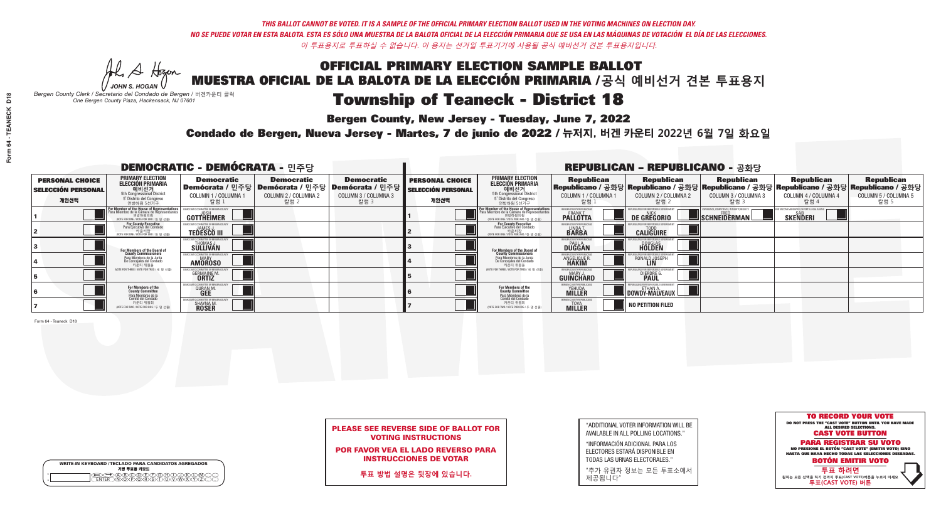He A Hogen *JOHN S. HOGAN*

# Township of Teaneck - District 18

**Bergen County, New Jersey - Tuesday, June 7, 2022** 

*Bergen County Clerk / Secretario del Condado de Bergen /* 버겐카운티 클럭 *One Bergen County Plaza, Hackensack, NJ 07601*

WRITE-IN KEYBOARD /TECLADO PARA CANDIDATOS AGREGADOS<br>기명 투표용 키보드

 $\bigoplus \bigoplus \mathbb{A} \oplus \mathbb{C} \oplus \mathbb{C} \oplus \mathbb{C} \oplus \mathbb{C} \oplus \mathbb{C} \cup \mathbb{W} \oplus \mathbb{Z} \oplus \mathbb{Z} \oplus \mathbb{C}$ 

Condado de Bergen, Nueva Jersey - Martes, 7 de junio de 2022 / 뉴저지, 버겐 카운티 2022년 6월 7일 화요일 *One Bergen County Plaza, Hackensack, NJ 07601*



### PLEASE SEE REVERSE SIDE OF BALLOT FOR VOTING INSTRUCTIONS

POR FAVOR VEA EL LADO REVERSO PARA INSTRUCCIONES DE VOTAR

**투표 방법 설명은 뒷장에 있습니다.**

| 5             |
|---------------|
| 6             |
| 7             |
| Form 64 - Tea |
|               |

"ADDITIONAL VOTER INFORMATION WILL BE AVAILABLE IN ALL POLLING LOCATIONS."

"INFORMACIÓN ADICIONAL PARA LOS ELECTORES ESTARÁ DISPONIBLE EN TODAS LAS URNAS ELECTORALES."

"추가 유권자 정보는 모든 투표소에서 제공됩니다"

| Form 64 - TEANECK D18 |  |
|-----------------------|--|
|                       |  |

D<sub>18</sub>

| <b>DEMOCRATIC - DEMÓCRATA - 민주당</b>                         |                                                                                                                                               |                                                             |                                                                                          |                                                                      |                                                             |                                                                                                                                               |                                                          | <b>REPUBLICAN - REPUBLICANO - 공화당</b>                                                                                                           |                                                   |                                                   |                                                   |
|-------------------------------------------------------------|-----------------------------------------------------------------------------------------------------------------------------------------------|-------------------------------------------------------------|------------------------------------------------------------------------------------------|----------------------------------------------------------------------|-------------------------------------------------------------|-----------------------------------------------------------------------------------------------------------------------------------------------|----------------------------------------------------------|-------------------------------------------------------------------------------------------------------------------------------------------------|---------------------------------------------------|---------------------------------------------------|---------------------------------------------------|
| <b>PERSONAL CHOICE</b><br><b>SELECCIÓN PERSONAL</b><br>개인선택 | PRIMARY ELECTION<br>ELECCIÓN PRIMARIA<br>에비선거<br>5th Congressional District<br>5 <sup>*</sup> Distrito del Congreso<br>연방하원 5선거구              | <b>Democratic</b><br>COLUMN 1 / COLUMNA 1<br>칼럼 1           | <b>Democratic</b><br>Demócrata / 민주당   Demócrata / 민주당  <br>COLUMN 2 / COLUMNA 2<br>칼럼 2 | <b>Democratic</b><br>Demócrata / 민주당<br>COLUMN 3 / COLUMNA 3<br>칼럼 3 | <b>PERSONAL CHOICE</b><br><b>SELECCIÓN PERSONAL</b><br>개인선택 | <b>PRIMARY ELECTION</b><br><b>ELECCIÓN PRIMARIA</b><br>예비선거<br>5th Congressional District<br>5 Distrito del Congreso<br>연방하원 5선거구             | <b>Republican</b><br>COLUMN 1 / COLUMNA 1<br>칼럼          | <b>Republican</b><br>Republicano / 공화당 Republicano / 공화당 Republicano / 공화당 Republicano / 공화당 Republicano / 공화당<br>COLUMN 2 / COLUMNA 2<br>-칼럼 2 | <b>Republican</b><br>COLUMN 3 / COLUMNA 3<br>칼럼 3 | <b>Republican</b><br>COLUMN 4 / COLUMNA 4<br>칼럼 4 | <b>Republican</b><br>COLUMN 5 / COLUMNA 5<br>칼럼 5 |
|                                                             | For Member of the House of Representatives<br>Para Miembro de la Cámara de Representantes<br>연방하원의원<br>(VOTE FOR ONE / VOTE POR UNO / 한 명 선출) | GOTTHEIMER                                                  |                                                                                          |                                                                      |                                                             | For Member of the House of Representatives<br>Para Miembro de la Cámara de Representantes<br>연방하원의원<br>(VOTE FOR ONE / VOTE POR UNO / 한 명 선출) | BERGEN COUNTY REPUBLICANS<br>FRANK T.<br><b>PALLOTTA</b> | DE GREGORIO                                                                                                                                     | SCHNEIDERMAN                                      | <b>SKENDERI</b>                                   |                                                   |
|                                                             | For County Executive<br>Para Ejecutivo del Condado<br>/OTE FOR ONE / VOTE POR UNO / 한 명 선출)                                                   | <b>TEDESCO III</b>                                          |                                                                                          |                                                                      |                                                             | <b>For County Executive</b><br>Para Ejecutivo del Condado<br>7) 카운티장<br>(VOTE FOR ONE / VOTE POR UNO / 한 명 선출)                                | BERGEN COUNTY REPUBLICA<br>LINDAT.                       | <b>CALIGUIRE</b>                                                                                                                                |                                                   |                                                   |                                                   |
|                                                             | For Members of the Board of<br>County Commissioners                                                                                           | EMOCRATIC COMMITTEE OF BERGEN LINE<br>THOMAS J.<br>SULLIVAN |                                                                                          |                                                                      |                                                             | <b>For Members of the Board of County Commissioners</b>                                                                                       | <b>BERGEN COUNTY REPUBLICAN<br/>PAUL A.<br/>DUGGAN</b>   | <b>DOUGLAS</b>                                                                                                                                  |                                                   |                                                   |                                                   |
|                                                             | Para Miembros de la Junta<br>De Concejales del Condado<br>카운티 위원들                                                                             | ATIC COMMITTEE OF BERGEN CO<br><b>AMOROSO</b>               |                                                                                          |                                                                      |                                                             | Para Miembros de la Junta<br>De Concejales del Condado<br>카운티 위원들                                                                             | ERGEN COUNTY REPUBLICAN<br><b>ANGELIQUE F</b>            | RONALD JOSEPH                                                                                                                                   |                                                   |                                                   |                                                   |
|                                                             | (VOTE FOR THREE / VOTE POR TRES / 세 명 선출)                                                                                                     | <b>GERMAINE M.</b><br><b>ORTIZ</b>                          |                                                                                          |                                                                      |                                                             | (VOTE FOR THREE / VOTE POR TRES / 세 명 선출)                                                                                                     | ERGEN COUNTY REPUBLICAN<br>MARY J<br><b>GUINCHARD</b>    | <b>DIERDRE G</b><br><b>PAUL</b>                                                                                                                 |                                                   |                                                   |                                                   |
|                                                             | For Members of the<br>County Committee<br>Para Miembros de la                                                                                 | 10CRATIC COMMITTEE OF BERGEN<br><b>QURAN M</b>              |                                                                                          |                                                                      |                                                             | For Members of the<br>County Committee                                                                                                        | BERGEN COUNTY REPUBLICAN<br><b>YEHUDA</b>                | <b>DOWDY-MALVEAUX</b>                                                                                                                           |                                                   |                                                   |                                                   |
|                                                             | Comité del Condado<br>카운티 위원회<br>(VOTE FOR TWO / VOTE POR DOS / 두 명 선출)                                                                       | CRATIC COMMITTEE OF BERGEN<br>SHAYNA M.<br><b>ROSER</b>     |                                                                                          |                                                                      |                                                             | Para Miembros de la<br>Comité del Condado<br>카운티 위원회<br>(VOTE FOR TWO / VOTE POR DOS / 두 명 선출)                                                | <b>BERGEN COUNTY REPUBLICAL</b><br><b>MILLER</b>         | NO PETITION FILED                                                                                                                               |                                                   |                                                   |                                                   |

neck D18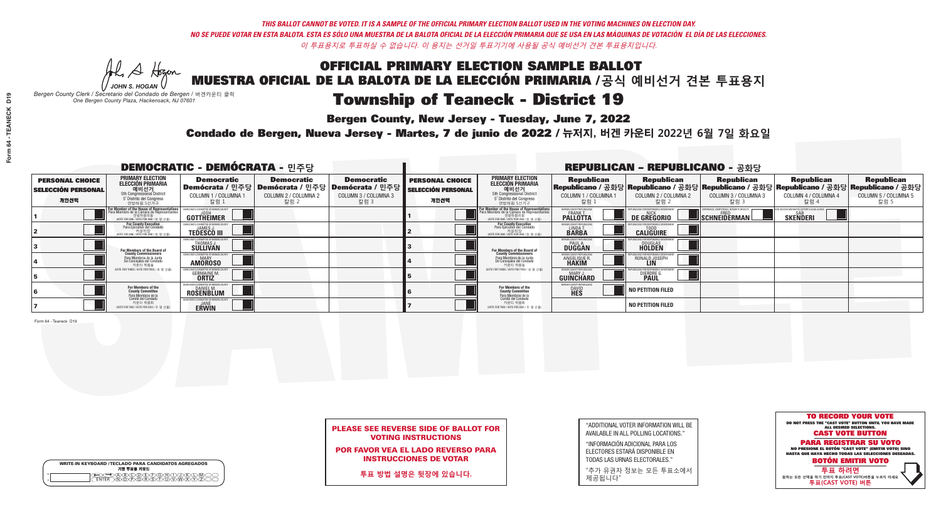**Bergen County, New Jersey - Tuesday, June 7, 2022** 

Al Stogan *JOHN S. HOGAN*

| <b>WRITE-IN KEYBOARD /TECLADO PARA CANDIDATOS AGREGADOS</b><br>기명 투표용 키보드 |  |
|---------------------------------------------------------------------------|--|
| <b>BODDDOH</b><br>n na T                                                  |  |

*Bergen County Clerk / Secretario del Condado de Bergen /* 버겐카운티 클럭 *One Bergen County Plaza, Hackensack, NJ 07601*

Condado de Bergen, Nueva Jersey - Martes, 7 de junio de 2022 / 뉴저지, 버겐 카운티 2022년 6월 7일 화요일 *One Bergen County Plaza, Hackensack, NJ 07601*



### PLEASE SEE REVERSE SIDE OF BALLOT FOR VOTING INSTRUCTIONS

POR FAVOR VEA EL LADO REVERSO PARA INSTRUCCIONES DE VOTAR

**투표 방법 설명은 뒷장에 있습니다.**

| D19               |  |
|-------------------|--|
|                   |  |
| Form 64 - TEANECK |  |
|                   |  |
|                   |  |
|                   |  |
|                   |  |

| "ADDITIONAL VOTER INFORMATION WILL BE |
|---------------------------------------|
| AVAILABLE IN ALL POLLING LOCATIONS."  |
|                                       |

"INFORMACIÓN ADICIONAL PARA LOS ELECTORES ESTARÁ DISPONIBLE EN TODAS LAS URNAS ELECTORALES."

"추가 유권자 정보는 모든 투표소에서 제공됩니다"

| <b>DEMOCRATIC - DEMÓCRATA - 민주당</b>                         |                                                                                                                                               |                                                               |                                                   |                                                                                                             |                                                             |                                                                                                                                                             |                                                          | <b>REPUBLICAN - REPUBLICANO - 공화당</b>             |                                                   |                                                   |                                                                                                                                                |
|-------------------------------------------------------------|-----------------------------------------------------------------------------------------------------------------------------------------------|---------------------------------------------------------------|---------------------------------------------------|-------------------------------------------------------------------------------------------------------------|-------------------------------------------------------------|-------------------------------------------------------------------------------------------------------------------------------------------------------------|----------------------------------------------------------|---------------------------------------------------|---------------------------------------------------|---------------------------------------------------|------------------------------------------------------------------------------------------------------------------------------------------------|
| <b>PERSONAL CHOICE</b><br><b>SELECCIÓN PERSONAL</b><br>개인선택 | <b>PRIMARY ELECTION</b><br>ELECCIÓN PRIMARIA<br>예비선거<br><sub>5th Congressional</sub> District<br>5° Distrito del Congreso<br>연방하원 5선거구        | <b>Democratic</b><br>COLUMN 1 / COLUMNA<br>칼럼 1               | <b>Democratic</b><br>COLUMN 2 / COLUMNA 2<br>칼럼 2 | <b>Democratic</b><br>  Demócrata / 민주당   Demócrata / 민주당   Demócrata / 민주당 <br>COLUMN 3 / COLUMNA 3<br>칼럼 3 | <b>PERSONAL CHOICE</b><br><b>SELECCIÓN PERSONAL</b><br>개인선택 | <b>PRIMARY ELECTION</b><br>ELECCIÓN PRIMARIA<br>예비선거<br>5th Congressional District<br>5 Distrito del Congreso<br>연방하원 5선거구                                  | <b>Republican</b><br>COLUMN 1 / COLUMNA 1<br><u>칼럼 1</u> | <b>Republican</b><br>COLUMN 2 / COLUMNA 2<br>참럼 2 | <b>Republican</b><br>COLUMN 3 / COLUMNA 3<br>칼럼 3 | <b>Republican</b><br>COLUMN 4 / COLUMNA 4<br>칼럼 4 | <b>Republican</b><br>Republicano / 공화당 Republicano / 공화당 Republicano / 공화당 Republicano / 공화당 Republicano / 공화당<br>COLUMN 5 / COLUMNA 5<br>칼럼 5 |
|                                                             | For Member of the House of Representatives<br>Para Miembro de la Cámara de Representantes<br>연방하원의원<br>(VOTE FOR ONE / VOTE POR UNO / 한 명 선출) | OMMITTEE OF BERGEN C<br>GOTTHEIMER                            |                                                   |                                                                                                             |                                                             | F <mark>or Member of the House of Representatives</mark><br>Para Miembro de la Cámara de Representantes<br>연방하원의원<br>(WOTE FOR ONE / VOTE POR UNO / 한 명 선출) | BERGEN COUNTY REPUBLICAN<br><b>PALLOTTA</b>              | <b>DE GREGORIO</b>                                | SCHNEIDERMAN                                      | <b>SKENDERI</b>                                   |                                                                                                                                                |
|                                                             | For County Executive<br>Para Ejecutivo del Condado<br>WOTE FOR ONE / VOTE POR UNO / 한 명 선출)                                                   | <b>TEDESCO III</b>                                            |                                                   |                                                                                                             |                                                             | For County Executive<br>Para Ejecutivo del Condado<br>. 카운티장<br>(VOTE FOR ONE / VOTE POR UNO / 한 명 선출)                                                      | BERGEN COUNTY REPUBLICAN<br>LINDA T.                     | <b>CALIGUIRE</b>                                  |                                                   |                                                   |                                                                                                                                                |
|                                                             | For Members of the Board of<br>County Commissioners                                                                                           | 10CRATIC COMMITTEE OF BERGEN C<br>THOMAS J.                   |                                                   |                                                                                                             |                                                             | <b>For Members of the Board of County Commissioners</b>                                                                                                     | BERGEN COUNTY REPUBLICAN<br><b>DUGGAN</b>                | <b>DOUGLAS</b><br><b>HOLDEN</b>                   |                                                   |                                                   |                                                                                                                                                |
|                                                             | Para Miembros de la Junta<br>De Concejales del Condado<br>카운티 위원들                                                                             | MOCRATIC COMMITTEE OF BERGEN COUNT<br><b>AMOROSO</b>          |                                                   |                                                                                                             |                                                             | Para Miembros de la Junta<br>De Concejales del Condado<br>카운티 위원들                                                                                           | ERGEN COUNTY REPUBLICAN<br><b>ANGELIQUE R</b>            | RONALD JOSEPH                                     |                                                   |                                                   |                                                                                                                                                |
|                                                             | (VOTE FOR THREE / VOTE POR TRES / 세 명 선출)                                                                                                     | <b>GERMAINE M.</b>                                            |                                                   |                                                                                                             |                                                             | (VOTE FOR THREE / VOTE POR TRES / 세 명 선출)                                                                                                                   | BERGEN COUNTY REPUBLICAN<br>MARY.<br><b>GUINCHARD</b>    | <b>DIERDRE</b>                                    |                                                   |                                                   |                                                                                                                                                |
|                                                             | For Members of the<br>County Committee<br>Para Miembros de la                                                                                 | 10CRATIC COMMITTEE OF BERGEN<br><b>DANIEL M.</b><br>ROSENBLUM |                                                   |                                                                                                             |                                                             | <b>For Members of the<br/>County Committee</b>                                                                                                              | BERGEN COUNTY REPUBLICAN<br><b>DAVID</b><br><b>HES</b>   | NO PETITION FILED                                 |                                                   |                                                   |                                                                                                                                                |
|                                                             | cha mismores de la<br>카운티 위원회<br>NOTE FOR TWO / VOTE POR DOS / 두 명 선출)                                                                        | <b>ERWIN</b>                                                  |                                                   |                                                                                                             |                                                             | Para Miembros de la<br>Comité del Condado<br>카운티 위원회<br>NOTE FOR TWO / VOTE POR DOS / 두 명 선출)                                                               |                                                          | <b>NO PETITION FILED</b>                          |                                                   |                                                   |                                                                                                                                                |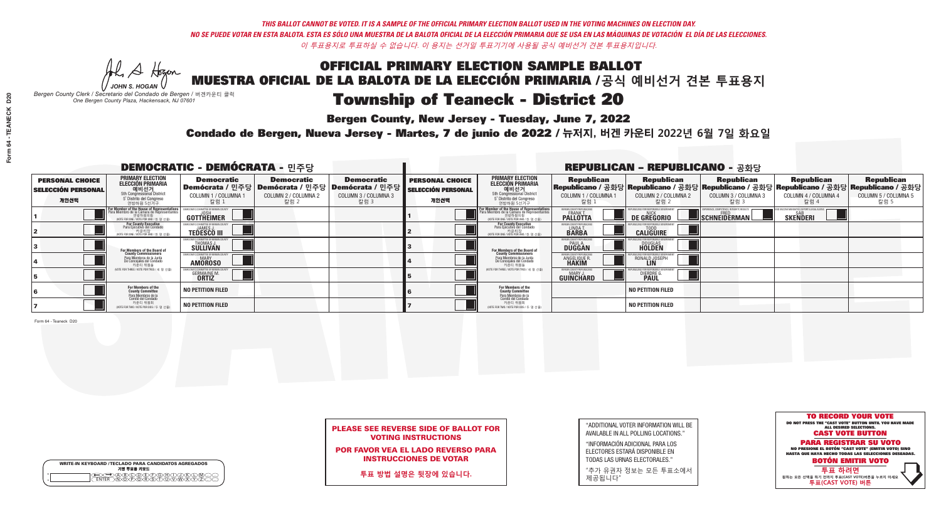**Bergen County, New Jersey - Tuesday, June 7, 2022** 

He A Hogan *JOHN S. HOGAN*

*Bergen County Clerk / Secretario del Condado de Bergen /* 버겐카운티 클럭 *One Bergen County Plaza, Hackensack, NJ 07601*

Condado de Bergen, Nueva Jersey - Martes, 7 de junio de 2022 / 뉴저지, 버겐 카운티 2022년 6월 7일 화요일 *One Bergen County Plaza, Hackensack, NJ 07601*



### PLEASE SEE REVERSE SIDE OF BALLOT FOR VOTING INSTRUCTIONS

POR FAVOR VEA EL LADO REVERSO PARA INSTRUCCIONES DE VOTAR

**투표 방법 설명은 뒷장에 있습니다.**

WRITE-IN KEYBOARD /TECLADO PARA CANDIDATOS AGREGADOS<br>기명 투표용 키보드

 $\bigoplus \bigoplus \mathbb{A} \oplus \mathbb{C} \oplus \mathbb{C} \oplus \mathbb{C} \oplus \mathbb{C} \oplus \mathbb{C} \cup \mathbb{W} \oplus \mathbb{Z} \oplus \mathbb{Z} \oplus \mathbb{C}$ 

| "ADDITIONAL VOTER INFORMATION WILL BE |
|---------------------------------------|
| AVAILABLE IN ALL POLLING LOCATIONS."  |
|                                       |

"INFORMACIÓN ADICIONAL PARA LOS ELECTORES ESTARÁ DISPONIBLE EN TODAS LAS URNAS ELECTORALES."

"추가 유권자 정보는 모든 투표소에서 제공됩니다"

| <b>DEMOCRATIC - DEMÓCRATA - 민주당</b>                         |                                                                                                                                         |                                                                                                      |                                                   |                                                                                                       |                                                             |                                                                                                                                                             |                                                             | <b>REPUBLICAN - REPUBLICANO - 공화당</b>                                                                                                           |                                                   |                                                   |                                                   |
|-------------------------------------------------------------|-----------------------------------------------------------------------------------------------------------------------------------------|------------------------------------------------------------------------------------------------------|---------------------------------------------------|-------------------------------------------------------------------------------------------------------|-------------------------------------------------------------|-------------------------------------------------------------------------------------------------------------------------------------------------------------|-------------------------------------------------------------|-------------------------------------------------------------------------------------------------------------------------------------------------|---------------------------------------------------|---------------------------------------------------|---------------------------------------------------|
| <b>PERSONAL CHOICE</b><br><b>SELECCIÓN PERSONAL</b><br>개인선택 | <b>PRIMARY ELECTION</b><br>ELECCIÓN PRIMARIA<br>에비선거<br>5th Congressional District<br>5 <sup>*</sup> Distrito del Congreso<br>연방하원 5선거구 | <b>Democratic</b><br>COLUMN 1 / COLUMNA<br>칼럼 1                                                      | <b>Democratic</b><br>COLUMN 2 / COLUMNA 2<br>칼럼 2 | <b>Democratic</b><br>│Demócrata / 민주당│Demócrata / 민주당│Demócrata / 민주당<br>COLUMN 3 / COLUMNA 3<br>칼럼 3 | <b>PERSONAL CHOICE</b><br><b>SELECCIÓN PERSONAL</b><br>개인선택 | <b>PRIMARY ELECTION</b><br><b>ELECCIÓN PRIMARIA</b><br>예비선거<br>5th Congressional District<br>5 Distrito del Congreso<br>연방하원 5선거구                           | <b>Republican</b><br>COLUMN 1 / COLUMNA 1<br>칼럼             | <b>Republican</b><br>Republicano / 공화당 Republicano / 공화당 Republicano / 공화당 Republicano / 공화당 Republicano / 공화당<br>COLUMN 2 / COLUMNA 2<br>-칼럼 2 | <b>Republican</b><br>COLUMN 3 / COLUMNA 3<br>칼럼 3 | <b>Republican</b><br>COLUMN 4 / COLUMNA 4<br>칼럼 4 | <b>Republican</b><br>COLUMN 5 / COLUMNA 5<br>칼럼 5 |
|                                                             | For Member of the House of Representatives<br>Para Miembro de la Cámara de Representantes                                               | GOTTHEIMER                                                                                           |                                                   |                                                                                                       |                                                             | F <mark>or Member of the House of Representatives</mark><br>Para Miembro de la Cámara de Representantes<br>연방하원의원<br>(VOTE FOR ONE / VOTE POR UNO / 한 명 선출) | BERGEN COUNTY REPUBLICANS<br>FRANK T.<br><b>PALLOTTA</b>    | DE GREGORIO                                                                                                                                     | SCHNEIDERMAN                                      | <b>SKENDERI</b>                                   |                                                   |
|                                                             | For County Executive<br>Para Ejecutivo del Condado<br>VOTE FOR ONE / VOTE POR UNO / 한 명 선출)                                             | <b>TEDESCO III</b>                                                                                   |                                                   |                                                                                                       |                                                             | For County Executive<br>Para Ejecutivo del Condado<br>7) 카운티장<br>(VOTE FOR ONE / VOTE POR UNO / 한 명 선출)                                                     | BERGEN COUNTY REPUBLICA<br>LINDAT.                          | <b>CALIGUIRE</b>                                                                                                                                |                                                   |                                                   |                                                   |
|                                                             | For Members of the Board of<br>County Commissioners                                                                                     | MOCRATIC COMMITTEE OF BERGEN CONTRANT COMMITTEE OF BERGEN CONTRANT THE OF BERGEN<br>S <b>ULLIVAN</b> |                                                   |                                                                                                       |                                                             | For Members of the Board of<br>County Commissioners                                                                                                         | BERGEN COUNTY REPUBLICAN<br><b>PAUL A.</b><br><b>DUGGAN</b> | <b>DOUGLAS</b>                                                                                                                                  |                                                   |                                                   |                                                   |
|                                                             | Para Miembros de la Junta<br>De Concejales del Condado<br>카운티 위원들                                                                       | <b>10CRATIC COMMITTEE OF BERGEN COUN</b><br><b>AMOROSO</b>                                           |                                                   |                                                                                                       |                                                             | Para Miembros de la Junta<br>De Concejales del Condado<br>카운티 위원들                                                                                           | ERGEN COUNTY REPUBLICAN<br>ANGELIQUE R                      | RONALD JOSEPH                                                                                                                                   |                                                   |                                                   |                                                   |
|                                                             | (VOTE FOR THREE / VOTE POR TRES / 세 명 선출)                                                                                               | <b>GERMAINE M.</b><br><b>ORTIZ</b>                                                                   |                                                   |                                                                                                       |                                                             | (VOTE FOR THREE / VOTE POR TRES / 세 명 선출)                                                                                                                   | ERGEN COUNTY REPUBLICAN<br>MARY J<br><b>GUINCHARD</b>       | <b>DIERDRE</b>                                                                                                                                  |                                                   |                                                   |                                                   |
|                                                             | For Members of the<br>County Committee<br>Para Miembros de la<br>Comité del Condado                                                     | <b>NO PETITION FILED</b>                                                                             |                                                   |                                                                                                       |                                                             | For Members of the<br>County Committee                                                                                                                      |                                                             | <b>NO PETITION FILED</b>                                                                                                                        |                                                   |                                                   |                                                   |
|                                                             | 카운티 위원회<br>NOTE FOR TWO / VOTE POR DOS / 두 명 선출)                                                                                        | <b>NO PETITION FILED</b>                                                                             |                                                   |                                                                                                       |                                                             | Para Miembros de la<br>Comité del Condado<br>카운티 위원회<br>NOTE FOR TWO / VOTE POR DOS / 두 명 선출)                                                               |                                                             | <b>NO PETITION FILED</b>                                                                                                                        |                                                   |                                                   |                                                   |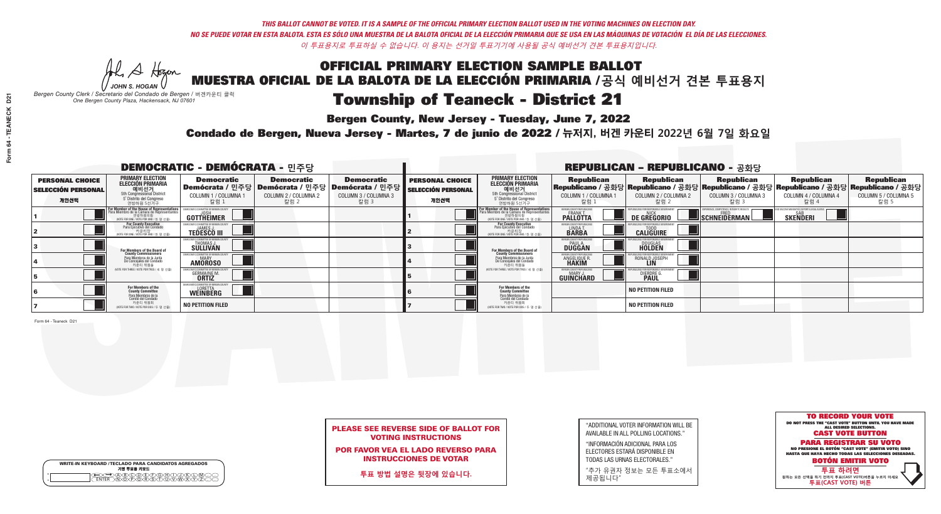Al Stogan *JOHN S. HOGAN*

| <b>WRITE-IN KEYBOARD /TECLADO PARA CANDIDATOS AGREGADOS</b><br>기명 투표용 키보드 |
|---------------------------------------------------------------------------|
| DOODEPOHO<br>DPORSTUDVD                                                   |

# Township of Teaneck - District 21

**Bergen County, New Jersey - Tuesday, June 7, 2022** 

*Bergen County Clerk / Secretario del Condado de Bergen /* 버겐카운티 클럭 *One Bergen County Plaza, Hackensack, NJ 07601*

Condado de Bergen, Nueva Jersey - Martes, 7 de junio de 2022 / 뉴저지, 버겐 카운티 2022년 6월 7일 화요일 *One Bergen County Plaza, Hackensack, NJ 07601*



### PLEASE SEE REVERSE SIDE OF BALLOT FOR VOTING INSTRUCTIONS

POR FAVOR VEA EL LADO REVERSO PARA INSTRUCCIONES DE VOTAR

**투표 방법 설명은 뒷장에 있습니다.**

| "ADDITIONAL VOTER INFORMATION WILL BE |
|---------------------------------------|
| AVAILABLE IN ALL POLLING LOCATIONS."  |
|                                       |

"INFORMACIÓN ADICIONAL PARA LOS ELECTORES ESTARÁ DISPONIBLE EN TODAS LAS URNAS ELECTORALES."

"추가 유권자 정보는 모든 투표소에서 제공됩니다"

| <b>DEMOCRATIC - DEMÓCRATA - 민주당</b>                         |                                                                                                                                               |                                                             |                                                   |                                                                                                             |                                                             |                                                                                                                                                             |                                                              | <b>REPUBLICAN - REPUBLICANO - 공화당</b>                                                                                                             |                                                   |                                                   |                                                   |
|-------------------------------------------------------------|-----------------------------------------------------------------------------------------------------------------------------------------------|-------------------------------------------------------------|---------------------------------------------------|-------------------------------------------------------------------------------------------------------------|-------------------------------------------------------------|-------------------------------------------------------------------------------------------------------------------------------------------------------------|--------------------------------------------------------------|---------------------------------------------------------------------------------------------------------------------------------------------------|---------------------------------------------------|---------------------------------------------------|---------------------------------------------------|
| <b>PERSONAL CHOICE</b><br><b>SELECCIÓN PERSONAL</b><br>개인선택 | PRIMARY ELECTION<br>ELECCIÓN PRIMARIA<br>에비선거<br>5th Congressional District<br>5 <sup>*</sup> Distrito del Congreso<br>연방하원 5선거구              | <b>Democratic</b><br>COLUMN 1 / COLUMNA 1<br>칼럼 1           | <b>Democratic</b><br>COLUMN 2 / COLUMNA 2<br>칼럼 2 | <b>Democratic</b><br>  Demócrata / 민주당   Demócrata / 민주당   Demócrata / 민주당 <br>COLUMN 3 / COLUMNA 3<br>칼럼 3 | <b>PERSONAL CHOICE</b><br><b>SELECCIÓN PERSONAL</b><br>개인선택 | <b>PRIMARY ELECTION</b><br><b>ELECCIÓN PRIMARIA</b><br>예비선거<br>5th Congressional District<br>5 Distrito del Congreso<br>연방하원 5선거구                           | <b>Republican</b><br>COLUMN 1 / COLUMNA 1<br>칼럼              | <b>Republican</b><br> Republicano / 공화당 Republicano / 공화당 Republicano / 공화당 Republicano / 공화당 Republicano / 공화당 <br>COLUMN 2 / COLUMNA 2<br>-칼럼 2 | <b>Republican</b><br>COLUMN 3 / COLUMNA 3<br>칼럼 3 | <b>Republican</b><br>COLUMN 4 / COLUMNA 4<br>칼럼 4 | <b>Republican</b><br>COLUMN 5 / COLUMNA 5<br>칼럼 5 |
|                                                             | For Member of the House of Representatives<br>Para Miembro de la Cámara de Representantes<br>연방하원의원<br>(VOTE FOR ONE / VOTE POR UNO / 한 명 선출) | GOTTHEIMER                                                  |                                                   |                                                                                                             |                                                             | F <mark>or Member of the House of Representatives</mark><br>Para Miembro de la Cámara de Representantes<br>연방하원의원<br>(VOTE FOR ONE / VOTE POR UNO / 한 명 선출) | BERGEN COUNTY REPUBLICANS<br>FRANK T.<br><b>PALLOTTA</b>     | DE GREGORIO                                                                                                                                       | SCHNEIDERMAN                                      | <b>SKENDERI</b>                                   |                                                   |
|                                                             | For County Executive<br>Para Ejecutivo del Condado<br>/OTE FOR ONE / VOTE POR UNO / 한 명 선출)                                                   | <b>TEDESCO III</b>                                          |                                                   |                                                                                                             |                                                             | <b>For County Executive</b><br>Para Ejecutivo del Condado<br>7) 카운티장<br>(VOTE FOR ONE / VOTE POR UNO / 한 명 선출)                                              | BERGEN COUNTY REPUBLICA<br>LINDAT.                           | <b>CALIGUIRE</b>                                                                                                                                  |                                                   |                                                   |                                                   |
|                                                             | For Members of the Board of<br>County Commissioners                                                                                           | EMOCRATIC COMMITTEE OF BERGEN LINE<br>THOMAS J.<br>SULLIVAN |                                                   |                                                                                                             |                                                             | <b>For Members of the Board of County Commissioners</b>                                                                                                     | <b>BERGEN COUNTY REPUBLICAN<br/>PAUL A.<br/>DUGGAN</b>       | <b>DOUGLAS</b>                                                                                                                                    |                                                   |                                                   |                                                   |
|                                                             | Para Miembros de la Junta<br>De Concejales del Condado<br>카운티 위원들                                                                             | ATIC COMMITTEE OF BERGEN CO<br><b>AMOROSO</b>               |                                                   |                                                                                                             |                                                             | Para Miembros de la Junta<br>De Concejales del Condado<br>카운티 위원들                                                                                           | ERGEN COUNTY REPUBLICAN<br><b>ANGELIQUE F</b>                | RONALD JOSEPH                                                                                                                                     |                                                   |                                                   |                                                   |
|                                                             | (VOTE FOR THREE / VOTE POR TRES / 세 명 선출)                                                                                                     | <b>GERMAINE M.</b><br><b>ORTIZ</b>                          |                                                   |                                                                                                             |                                                             | (VOTE FOR THREE / VOTE POR TRES / 세 명 선출)                                                                                                                   | <b>ERGEN COUNTY REPUBLICAN</b><br>MARY J<br><b>GUINCHARD</b> | <b>DIERDRE G</b><br><b>PAUL</b>                                                                                                                   |                                                   |                                                   |                                                   |
|                                                             | For Members of the<br>County Committee<br>Para Miembros de la                                                                                 | MOCRATIC COMMITTEE OF BERGEN (<br><b>WEINBERG</b>           |                                                   |                                                                                                             |                                                             | For Members of the<br>County Committee                                                                                                                      |                                                              | <b>NO PETITION FILED</b>                                                                                                                          |                                                   |                                                   |                                                   |
|                                                             | Comité del Condado<br>카운티 위원회<br>NOTE FOR TWO / VOTE POR DOS / 두 명 선출)                                                                        | <b>NO PETITION FILED</b>                                    |                                                   |                                                                                                             |                                                             | Para Miembros de la<br>Comité del Condado<br>카운티 위원회<br>(VOTE FOR TWO / VOTE POR DOS / 두 명 선출)                                                              |                                                              | <b>NO PETITION FILED</b>                                                                                                                          |                                                   |                                                   |                                                   |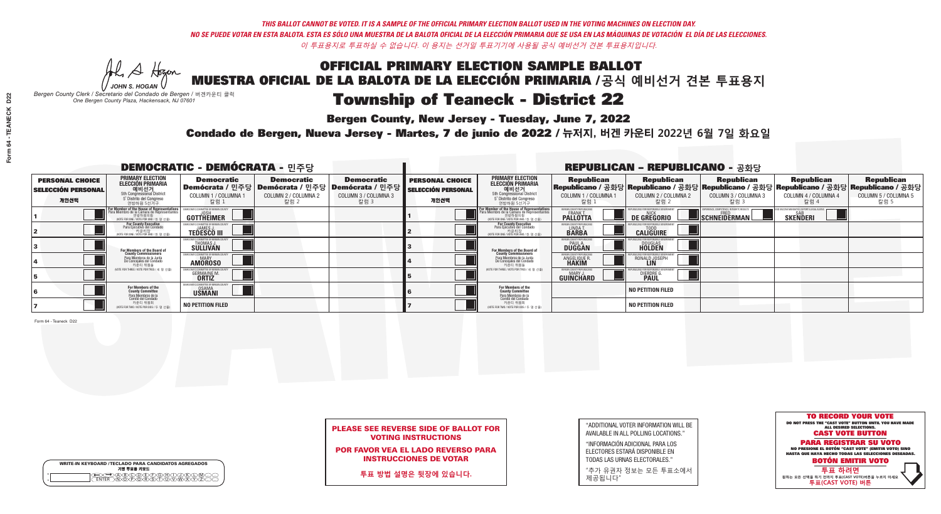Al Stogan *JOHN S. HOGAN*

| <b>WRITE-IN KEYBOARD /TECLADO PARA CANDIDATOS AGREGADOS</b><br>기명 투표용 키보드 |
|---------------------------------------------------------------------------|
| YDYFYFYGY                                                                 |

# Township of Teaneck - District 22

**Bergen County, New Jersey - Tuesday, June 7, 2022** 

*Bergen County Clerk / Secretario del Condado de Bergen /* 버겐카운티 클럭 *One Bergen County Plaza, Hackensack, NJ 07601*

Condado de Bergen, Nueva Jersey - Martes, 7 de junio de 2022 / 뉴저지, 버겐 카운티 2022년 6월 7일 화요일 *One Bergen County Plaza, Hackensack, NJ 07601*



### PLEASE SEE REVERSE SIDE OF BALLOT FOR VOTING INSTRUCTIONS

POR FAVOR VEA EL LADO REVERSO PARA INSTRUCCIONES DE VOTAR

**투표 방법 설명은 뒷장에 있습니다.**

| "ADDITIONAL VOTER INFORMATION WILL BE |
|---------------------------------------|
| AVAILABLE IN ALL POLLING LOCATIONS."  |
|                                       |

"INFORMACIÓN ADICIONAL PARA LOS ELECTORES ESTARÁ DISPONIBLE EN TODAS LAS URNAS ELECTORALES."

"추가 유권자 정보는 모든 투표소에서 제공됩니다"

| <b>DEMOCRATIC - DEMÓCRATA -</b> 민주당                         |                                                                                                                                               |                                                                |                                                   |                                                                                                        |                                                             |                                                                                                                                                |                                                             | <b>REPUBLICAN - REPUBLICANO - 공화당</b>              |                                                   |                                                                                                                                                |                                                   |
|-------------------------------------------------------------|-----------------------------------------------------------------------------------------------------------------------------------------------|----------------------------------------------------------------|---------------------------------------------------|--------------------------------------------------------------------------------------------------------|-------------------------------------------------------------|------------------------------------------------------------------------------------------------------------------------------------------------|-------------------------------------------------------------|----------------------------------------------------|---------------------------------------------------|------------------------------------------------------------------------------------------------------------------------------------------------|---------------------------------------------------|
| <b>PERSONAL CHOICE</b><br><b>SELECCIÓN PERSONAL</b><br>개인선택 | <b>PRIMARY ELECTION</b><br>ELECCIÓN PRIMARIA<br>에비선거<br>5th Congressional District<br>5 <sup>*</sup> Distrito del Congreso<br>연방하원 5선거구       | <b>Democratic</b><br>COLUMN 1 / COLUMNA<br>칼럼 1                | <b>Democratic</b><br>COLUMN 2 / COLUMNA 2<br>칼럼 2 | <b>Democratic</b><br>Demócrata / 민주당 Demócrata / 민주당 Demócrata / 민주당  <br>COLUMN 3 / COLUMNA 3<br>칼럼 3 | <b>PERSONAL CHOICE</b><br><b>SELECCIÓN PERSONAL</b><br>개인선택 | <b>PRIMARY ELECTION</b><br><b>ELECCIÓN PRIMARIA</b><br>예비선거<br>5th Congressional District<br>5 <sup>*</sup> Distrito del Congreso<br>연방하원 5선거구 | <b>Republican</b><br>COLUMN 1 / COLUMNA 1<br>칼럼             | <b>Republican</b><br>COLUMN 2 / COLUMNA 2<br>-칼럼 2 | <b>Republican</b><br>COLUMN 3 / COLUMNA 3<br>칼럼 3 | <b>Republican</b><br>Republicano / 공화당 Republicano / 공화당 Republicano / 공화당 Republicano / 공화당 Republicano / 공화당<br>COLUMN 4 / COLUMNA 4<br>칼럼 4 | <b>Republican</b><br>COLUMN 5 / COLUMNA 5<br>칼럼 5 |
|                                                             | For Member of the House of Representatives<br>Para Miembro de la Cámara de Representantes<br>연방하원의원<br>(VOTE FOR ONE / VOTE POR UNO / 한 명 선출) | GOTTHEIMER                                                     |                                                   |                                                                                                        |                                                             | F <mark>or Member of the House of Representative</mark><br>Para Miembro de la Cámara de Representante:<br>NOTE FOR ONE / VOTE POR UNO / 한 명 선출 | BERGEN COUNTY REPUBLICANS<br>FRANK T.<br><b>PALLOTTA</b>    | DE GREGORIO                                        | SCHNEIDERMAN                                      | <b>SKENDERI</b>                                                                                                                                |                                                   |
|                                                             | For County Executive<br>Para Ejecutivo del Condado<br>, 카운티장<br>(VOTE FOR ONE / VOTE POR UNO / 한 명 선출)                                        | EMOCRATIC COMMITTEE OF BERGEN<br><b>TEDESCO III</b>            |                                                   |                                                                                                        |                                                             | <b>For County Executive</b><br>Para Ejecutivo del Condado<br>7 카운티장<br>(VOTE FOR ONE / VOTE POR UNO / 한 명 선출)                                  | BERGEN COUNTY REPUBLICA<br>LINDA T.                         | <b>CALIGUIRE</b>                                   |                                                   |                                                                                                                                                |                                                   |
|                                                             | For Members of the Board of<br>County Commissioners                                                                                           | <b>THOMAS J.</b><br><b>SULLIVAN</b>                            |                                                   |                                                                                                        |                                                             | For Members of the Board of<br>County Commissioners                                                                                            | BERGEN COUNTY REPUBLICAN<br><b>PAUL A.</b><br><b>DUGGAN</b> | <b>DOUGLAS</b>                                     |                                                   |                                                                                                                                                |                                                   |
|                                                             | Para Miembros de la Junta<br>De Concejales del Condado<br>카운티 위원들                                                                             | ATIC COMMITTEE OF BERGEN COUN<br><b>MARY</b><br><b>AMOROSO</b> |                                                   |                                                                                                        |                                                             | Para Miembros de la Junta<br>De Concejales del Condado<br>카운티 위원들                                                                              | ERGEN COUNTY REPUBLICAN<br>ANGELIQUE R                      | RONALD JOSEPH<br><b>LIN</b>                        |                                                   |                                                                                                                                                |                                                   |
|                                                             | (VOTE FOR THREE / VOTE POR TRES / 세 명 선출)                                                                                                     | <b>GERMAINE M.</b><br><b>ORTIZ</b>                             |                                                   |                                                                                                        |                                                             | NOTE FOR THREE / VOTE POR TRES / 세 명 선출)                                                                                                       | BERGEN COUNTY REPUBLICAN<br>MARY J.<br>GUINCHARD            | <b>DIERDRE</b>                                     |                                                   |                                                                                                                                                |                                                   |
|                                                             | For Members of the<br>County Committee<br>Para Miembros de la<br>Comité del Condado                                                           | EMOCRATIC COMMITTEE OF BERGEN<br>OSAMA<br>USMANI               |                                                   |                                                                                                        |                                                             | For Members of the<br>County Committee                                                                                                         |                                                             | <b>NO PETITION FILED</b>                           |                                                   |                                                                                                                                                |                                                   |
|                                                             | 카운티 위원회<br>NOTE FOR TWO / VOTE POR DOS / 두 명 선출)                                                                                              | <b>NO PETITION FILED</b>                                       |                                                   |                                                                                                        |                                                             | Para Miembros de la<br>Comité del Condado<br>카운티 위원회<br>NOTE FOR TWO / VOTE POR DOS / 두 명 선출)                                                  |                                                             | <b>NO PETITION FILED</b>                           |                                                   |                                                                                                                                                |                                                   |